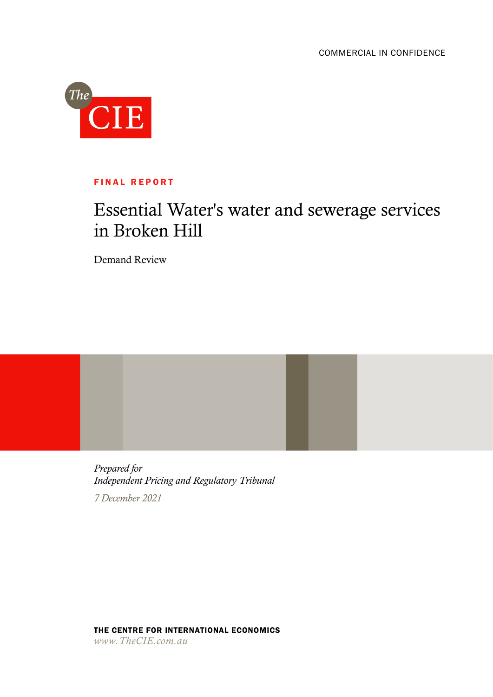

## **FINAL REPORT**

# Essential Water's water and sewerage services in Broken Hill

Demand Review

*Prepared for Independent Pricing and Regulatory Tribunal 7 December 2021*

THE CENTRE FOR INTERNATIONAL ECONOMICS *www.TheCIE.com.au*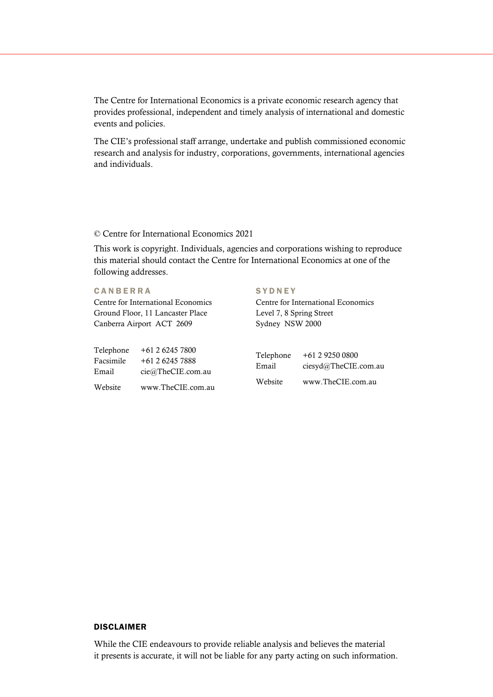The Centre for International Economics is a private economic research agency that provides professional, independent and timely analysis of international and domestic events and policies.

The CIE's professional staff arrange, undertake and publish commissioned economic research and analysis for industry, corporations, governments, international agencies and individuals.

### © Centre for International Economics 2021

This work is copyright. Individuals, agencies and corporations wishing to reproduce this material should contact the Centre for International Economics at one of the following addresses.

### **CANBERRA**

Centre for International Economics Ground Floor, 11 Lancaster Place Canberra Airport ACT 2609

| Telephone | $+61262457800$    |
|-----------|-------------------|
| Facsimile | +61 2 6245 7888   |
| Email     | cie@TheCIE.com.au |
| Website   | www.TheCIE.com.au |

### **SYDNEY**

Centre for International Economics Level 7, 8 Spring Street Sydney NSW 2000

| Telephone | +61 2 9250 0800      |
|-----------|----------------------|
| Email     | ciesyd@TheCIE.com.au |
| Website   | www.TheCIE.com.au    |

### DISCLAIMER

While the CIE endeavours to provide reliable analysis and believes the material it presents is accurate, it will not be liable for any party acting on such information.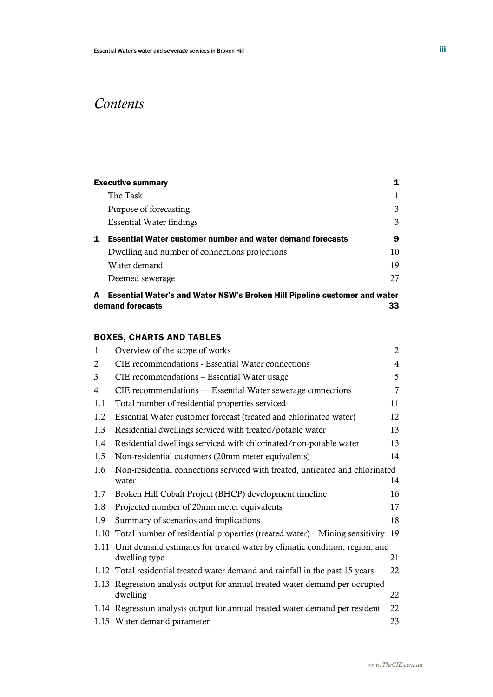# *Contents*

|   | <b>Executive summary</b>                                                  | 1  |
|---|---------------------------------------------------------------------------|----|
|   | The Task                                                                  |    |
|   | Purpose of forecasting                                                    | 3  |
|   | <b>Essential Water findings</b>                                           | 3  |
| 1 | <b>Essential Water customer number and water demand forecasts</b>         | 9  |
|   | Dwelling and number of connections projections                            | 10 |
|   | Water demand                                                              | 19 |
|   | Deemed sewerage                                                           | 27 |
| A | Essential Water's and Water NSW's Broken Hill Pipeline customer and water |    |

demand forecasts 33

## BOXES, CHARTS AND TABLES

| $\mathbf{1}$   | Overview of the scope of works                                                           | 2              |
|----------------|------------------------------------------------------------------------------------------|----------------|
| $\overline{2}$ | CIE recommendations - Essential Water connections                                        | $\overline{4}$ |
| 3              | CIE recommendations - Essential Water usage                                              | 5              |
| 4              | CIE recommendations — Essential Water sewerage connections                               | $\overline{7}$ |
| 1.1            | Total number of residential properties serviced                                          | 11             |
| 1.2            | Essential Water customer forecast (treated and chlorinated water)                        | 12             |
| 1.3            | Residential dwellings serviced with treated/potable water                                | 13             |
| 1.4            | Residential dwellings serviced with chlorinated/non-potable water                        | 13             |
| 1.5            | Non-residential customers (20mm meter equivalents)                                       | 14             |
| 1.6            | Non-residential connections serviced with treated, untreated and chlorinated             |                |
|                | water                                                                                    | 14             |
| 1.7            | Broken Hill Cobalt Project (BHCP) development timeline                                   | 16             |
| 1.8            | Projected number of 20mm meter equivalents                                               | 17             |
| 1.9            | Summary of scenarios and implications                                                    | 18             |
|                | 1.10 Total number of residential properties (treated water) – Mining sensitivity         | 19             |
|                | 1.11 Unit demand estimates for treated water by climatic condition, region, and          |                |
|                | dwelling type                                                                            | 21             |
|                | 1.12 Total residential treated water demand and rainfall in the past 15 years            | 22             |
|                | 1.13 Regression analysis output for annual treated water demand per occupied<br>dwelling | 22             |
|                | 1.14 Regression analysis output for annual treated water demand per resident             | 22             |
|                | 1.15 Water demand parameter                                                              | 23             |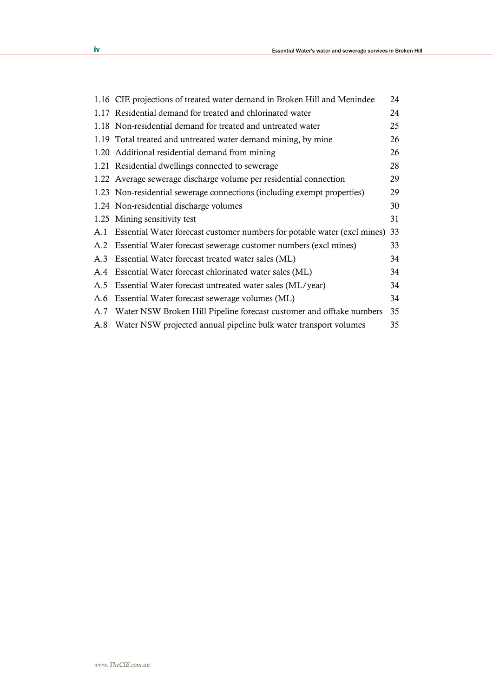|     | 1.16 CIE projections of treated water demand in Broken Hill and Menindee | 24 |
|-----|--------------------------------------------------------------------------|----|
|     | 1.17 Residential demand for treated and chlorinated water                | 24 |
|     | 1.18 Non-residential demand for treated and untreated water              | 25 |
|     | 1.19 Total treated and untreated water demand mining, by mine            | 26 |
|     | 1.20 Additional residential demand from mining                           | 26 |
|     | 1.21 Residential dwellings connected to sewerage                         | 28 |
|     | 1.22 Average sewerage discharge volume per residential connection        | 29 |
|     | 1.23 Non-residential sewerage connections (including exempt properties)  | 29 |
|     | 1.24 Non-residential discharge volumes                                   | 30 |
|     | 1.25 Mining sensitivity test                                             | 31 |
| A.1 | Essential Water forecast customer numbers for potable water (excl mines) | 33 |
|     | A.2 Essential Water forecast sewerage customer numbers (excl mines)      | 33 |
| A.3 | Essential Water forecast treated water sales (ML)                        | 34 |
| A.4 | Essential Water forecast chlorinated water sales (ML)                    | 34 |
| A.5 | Essential Water forecast untreated water sales (ML/year)                 | 34 |
| A.6 | Essential Water forecast sewerage volumes (ML)                           | 34 |
|     | A.7 Water NSW Broken Hill Pipeline forecast customer and offtake numbers | 35 |
|     | A.8 Water NSW projected annual pipeline bulk water transport volumes     | 35 |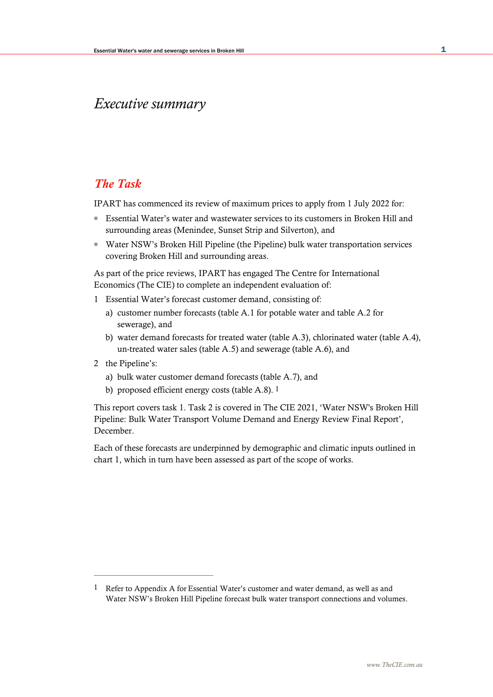# *Executive summary*

## *The Task*

IPART has commenced its review of maximum prices to apply from 1 July 2022 for:

- Essential Water's water and wastewater services to its customers in Broken Hill and surrounding areas (Menindee, Sunset Strip and Silverton), and
- Water NSW's Broken Hill Pipeline (the Pipeline) bulk water transportation services covering Broken Hill and surrounding areas.

As part of the price reviews, IPART has engaged The Centre for International Economics (The CIE) to complete an independent evaluation of:

- 1 Essential Water's forecast customer demand, consisting of:
	- a) customer number forecasts (table A.1 for potable water and table A.2 for sewerage), and
	- b) water demand forecasts for treated water (table A.3), chlorinated water (table A.4), un-treated water sales (table A.5) and sewerage (table A.6), and
- 2 the Pipeline's:
	- a) bulk water customer demand forecasts (table A.7), and
	- b) proposed efficient energy costs (table A.8). 1

This report covers task 1. Task 2 is covered in The CIE 2021, 'Water NSW's Broken Hill Pipeline: Bulk Water Transport Volume Demand and Energy Review Final Report', December.

Each of these forecasts are underpinned by demographic and climatic inputs outlined in chart 1, which in turn have been assessed as part of the scope of works.

<sup>1</sup> Refer to Appendix A for Essential Water's customer and water demand, as well as and Water NSW's Broken Hill Pipeline forecast bulk water transport connections and volumes.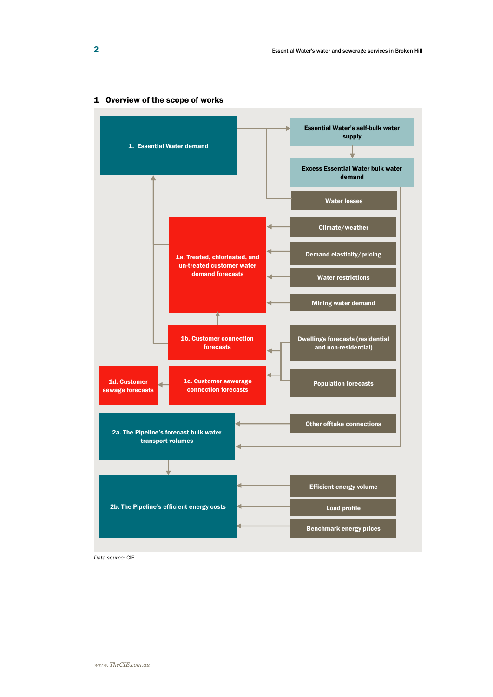

### 1 Overview of the scope of works

*Data source:* CIE.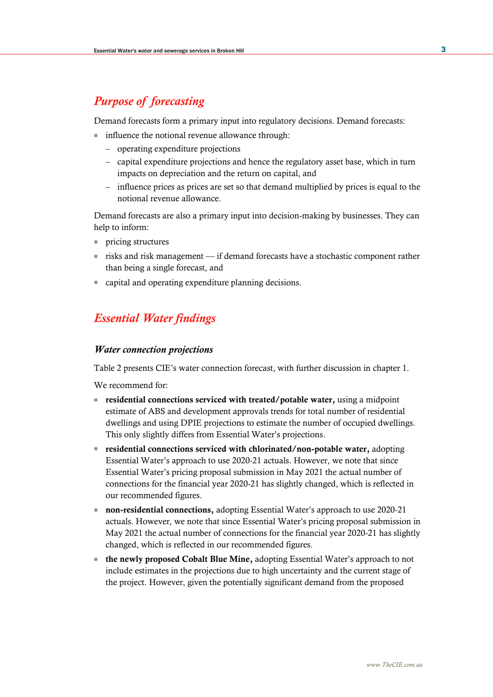# *Purpose of forecasting*

Demand forecasts form a primary input into regulatory decisions. Demand forecasts:

- influence the notional revenue allowance through:
	- operating expenditure projections
	- capital expenditure projections and hence the regulatory asset base, which in turn impacts on depreciation and the return on capital, and
	- influence prices as prices are set so that demand multiplied by prices is equal to the notional revenue allowance.

Demand forecasts are also a primary input into decision-making by businesses. They can help to inform:

- pricing structures
- risks and risk management if demand forecasts have a stochastic component rather than being a single forecast, and
- capital and operating expenditure planning decisions.

# *Essential Water findings*

### *Water connection projections*

Table 2 presents CIE's water connection forecast, with further discussion in chapter 1.

We recommend for:

- residential connections serviced with treated/potable water, using a midpoint estimate of ABS and development approvals trends for total number of residential dwellings and using DPIE projections to estimate the number of occupied dwellings. This only slightly differs from Essential Water's projections.
- residential connections serviced with chlorinated/non-potable water, adopting Essential Water's approach to use 2020-21 actuals. However, we note that since Essential Water's pricing proposal submission in May 2021 the actual number of connections for the financial year 2020-21 has slightly changed, which is reflected in our recommended figures.
- non-residential connections, adopting Essential Water's approach to use 2020-21 actuals. However, we note that since Essential Water's pricing proposal submission in May 2021 the actual number of connections for the financial year 2020-21 has slightly changed, which is reflected in our recommended figures.
- the newly proposed Cobalt Blue Mine, adopting Essential Water's approach to not include estimates in the projections due to high uncertainty and the current stage of the project. However, given the potentially significant demand from the proposed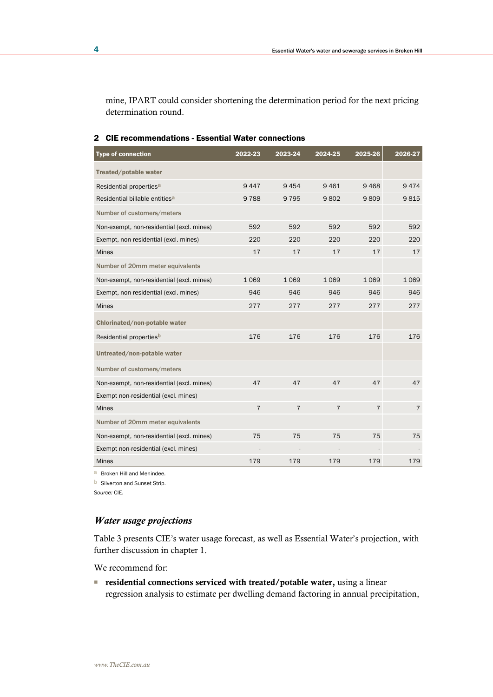mine, IPART could consider shortening the determination period for the next pricing determination round.

| <b>Type of connection</b>                  | 2022-23        | 2023-24        | 2024-25        | 2025-26        | 2026-27        |
|--------------------------------------------|----------------|----------------|----------------|----------------|----------------|
| Treated/potable water                      |                |                |                |                |                |
| Residential properties <sup>a</sup>        | 9447           | 9454           | 9461           | 9468           | 9474           |
| Residential billable entities <sup>a</sup> | 9788           | 9 7 9 5        | 9802           | 9809           | 9815           |
| Number of customers/meters                 |                |                |                |                |                |
| Non-exempt, non-residential (excl. mines)  | 592            | 592            | 592            | 592            | 592            |
| Exempt, non-residential (excl. mines)      | 220            | 220            | 220            | 220            | 220            |
| <b>Mines</b>                               | 17             | 17             | 17             | 17             | 17             |
| Number of 20mm meter equivalents           |                |                |                |                |                |
| Non-exempt, non-residential (excl. mines)  | 1069           | 1069           | 1069           | 1069           | 1069           |
| Exempt, non-residential (excl. mines)      | 946            | 946            | 946            | 946            | 946            |
| <b>Mines</b>                               | 277            | 277            | 277            | 277            | 277            |
| Chlorinated/non-potable water              |                |                |                |                |                |
| Residential propertiesb                    | 176            | 176            | 176            | 176            | 176            |
| Untreated/non-potable water                |                |                |                |                |                |
| Number of customers/meters                 |                |                |                |                |                |
| Non-exempt, non-residential (excl. mines)  | 47             | 47             | 47             | 47             | 47             |
| Exempt non-residential (excl. mines)       |                |                |                |                |                |
| <b>Mines</b>                               | $\overline{7}$ | $\overline{7}$ | $\overline{7}$ | $\overline{7}$ | $\overline{7}$ |
| Number of 20mm meter equivalents           |                |                |                |                |                |
| Non-exempt, non-residential (excl. mines)  | 75             | 75             | 75             | 75             | 75             |
| Exempt non-residential (excl. mines)       |                |                |                |                |                |
| <b>Mines</b>                               | 179            | 179            | 179            | 179            | 179            |

#### 2 CIE recommendations - Essential Water connections

a Broken Hill and Menindee.

**b** Silverton and Sunset Strip.

*Source:* CIE.

### *Water usage projections*

Table 3 presents CIE's water usage forecast, as well as Essential Water's projection, with further discussion in chapter 1.

We recommend for:

■ residential connections serviced with treated/potable water, using a linear regression analysis to estimate per dwelling demand factoring in annual precipitation,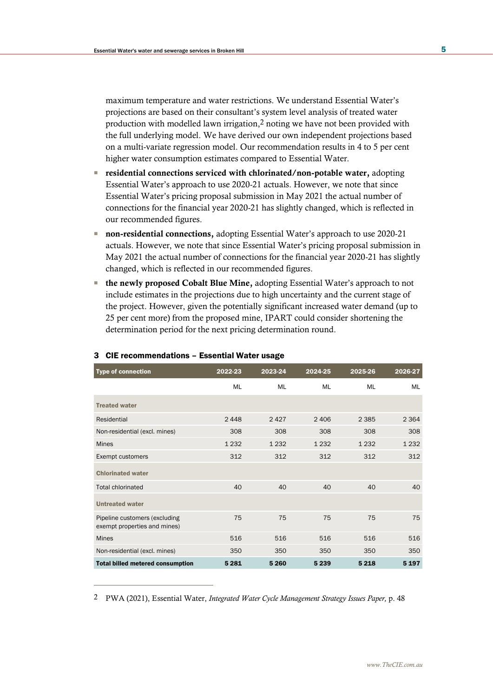maximum temperature and water restrictions. We understand Essential Water's projections are based on their consultant's system level analysis of treated water production with modelled lawn irrigation,2 noting we have not been provided with the full underlying model. We have derived our own independent projections based on a multi-variate regression model. Our recommendation results in 4 to 5 per cent higher water consumption estimates compared to Essential Water.

- residential connections serviced with chlorinated/non-potable water, adopting Essential Water's approach to use 2020-21 actuals. However, we note that since Essential Water's pricing proposal submission in May 2021 the actual number of connections for the financial year 2020-21 has slightly changed, which is reflected in our recommended figures.
- non-residential connections, adopting Essential Water's approach to use 2020-21 actuals. However, we note that since Essential Water's pricing proposal submission in May 2021 the actual number of connections for the financial year 2020-21 has slightly changed, which is reflected in our recommended figures.
- the newly proposed Cobalt Blue Mine, adopting Essential Water's approach to not include estimates in the projections due to high uncertainty and the current stage of the project. However, given the potentially significant increased water demand (up to 25 per cent more) from the proposed mine, IPART could consider shortening the determination period for the next pricing determination round.

| <b>Type of connection</b>                                     | 2022-23   | 2023-24 | 2024-25 | 2025-26 | 2026-27 |
|---------------------------------------------------------------|-----------|---------|---------|---------|---------|
|                                                               | <b>ML</b> | ML      | ML      | ML      | ML      |
| <b>Treated water</b>                                          |           |         |         |         |         |
| Residential                                                   | 2448      | 2427    | 2406    | 2 3 8 5 | 2 3 6 4 |
| Non-residential (excl. mines)                                 | 308       | 308     | 308     | 308     | 308     |
| <b>Mines</b>                                                  | 1 2 3 2   | 1 2 3 2 | 1 2 3 2 | 1 2 3 2 | 1 2 3 2 |
| Exempt customers                                              | 312       | 312     | 312     | 312     | 312     |
| <b>Chlorinated water</b>                                      |           |         |         |         |         |
| <b>Total chlorinated</b>                                      | 40        | 40      | 40      | 40      | 40      |
| <b>Untreated water</b>                                        |           |         |         |         |         |
| Pipeline customers (excluding<br>exempt properties and mines) | 75        | 75      | 75      | 75      | 75      |
| <b>Mines</b>                                                  | 516       | 516     | 516     | 516     | 516     |
| Non-residential (excl. mines)                                 | 350       | 350     | 350     | 350     | 350     |
| <b>Total billed metered consumption</b>                       | 5 2 8 1   | 5 2 6 0 | 5 2 3 9 | 5 2 1 8 | 5 1 9 7 |

#### 3 CIE recommendations – Essential Water usage

2 PWA (2021), Essential Water, *Integrated Water Cycle Management Strategy Issues Paper,* p. 48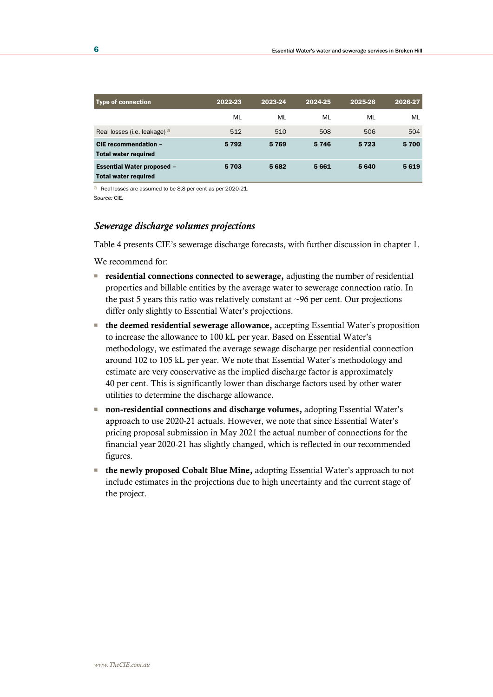| <b>Type of connection</b>                                        | 2022-23 | 2023-24 | 2024-25 | 2025-26 | 2026-27 |
|------------------------------------------------------------------|---------|---------|---------|---------|---------|
|                                                                  | ML      | ML      | ML      | ML      | ML      |
| Real losses (i.e. leakage) a                                     | 512     | 510     | 508     | 506     | 504     |
| CIE recommendation -<br><b>Total water required</b>              | 5792    | 5769    | 5746    | 5723    | 5700    |
| <b>Essential Water proposed -</b><br><b>Total water required</b> | 5703    | 5682    | 5661    | 5640    | 5619    |

a Real losses are assumed to be 8.8 per cent as per 2020-21. *Source:* CIE.

### *Sewerage discharge volumes projections*

Table 4 presents CIE's sewerage discharge forecasts, with further discussion in chapter 1.

We recommend for:

- residential connections connected to sewerage, adjusting the number of residential properties and billable entities by the average water to sewerage connection ratio. In the past 5 years this ratio was relatively constant at  $\sim$ 96 per cent. Our projections differ only slightly to Essential Water's projections.
- the deemed residential sewerage allowance, accepting Essential Water's proposition to increase the allowance to 100 kL per year. Based on Essential Water's methodology, we estimated the average sewage discharge per residential connection around 102 to 105 kL per year. We note that Essential Water's methodology and estimate are very conservative as the implied discharge factor is approximately 40 per cent. This is significantly lower than discharge factors used by other water utilities to determine the discharge allowance.
- non-residential connections and discharge volumes, adopting Essential Water's approach to use 2020-21 actuals. However, we note that since Essential Water's pricing proposal submission in May 2021 the actual number of connections for the financial year 2020-21 has slightly changed, which is reflected in our recommended figures.
- the newly proposed Cobalt Blue Mine, adopting Essential Water's approach to not include estimates in the projections due to high uncertainty and the current stage of the project.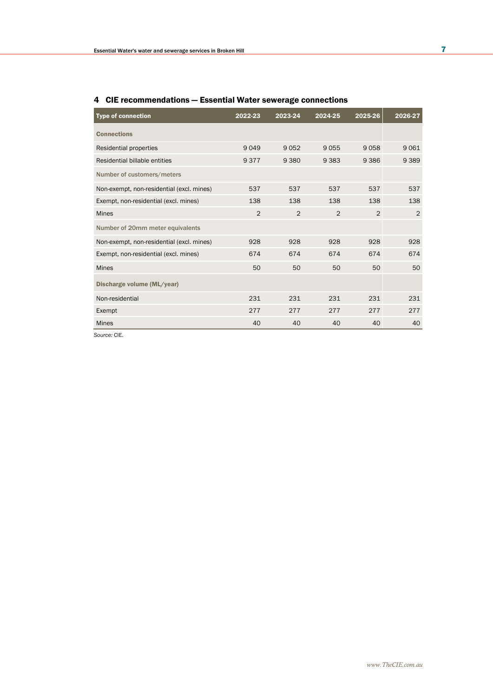| <b>Type of connection</b>                 | 2022-23        | 2023-24        | 2024-25        | 2025-26       | 2026-27 |
|-------------------------------------------|----------------|----------------|----------------|---------------|---------|
| <b>Connections</b>                        |                |                |                |               |         |
| Residential properties                    | 9049           | 9052           | 9055           | 9058          | 9061    |
| Residential billable entities             | 9377           | 9 3 8 0        | 9 3 8 3        | 9386          | 9 3 8 9 |
| Number of customers/meters                |                |                |                |               |         |
| Non-exempt, non-residential (excl. mines) | 537            | 537            | 537            | 537           | 537     |
| Exempt, non-residential (excl. mines)     | 138            | 138            | 138            | 138           | 138     |
| <b>Mines</b>                              | $\overline{2}$ | $\overline{2}$ | $\mathfrak{D}$ | $\mathcal{P}$ | 2       |
| Number of 20mm meter equivalents          |                |                |                |               |         |
| Non-exempt, non-residential (excl. mines) | 928            | 928            | 928            | 928           | 928     |
| Exempt, non-residential (excl. mines)     | 674            | 674            | 674            | 674           | 674     |
| <b>Mines</b>                              | 50             | 50             | 50             | 50            | 50      |
| Discharge volume (ML/year)                |                |                |                |               |         |
| Non-residential                           | 231            | 231            | 231            | 231           | 231     |
| Exempt                                    | 277            | 277            | 277            | 277           | 277     |
| <b>Mines</b>                              | 40             | 40             | 40             | 40            | 40      |

### 4 CIE recommendations — Essential Water sewerage connections

*Source:* CIE.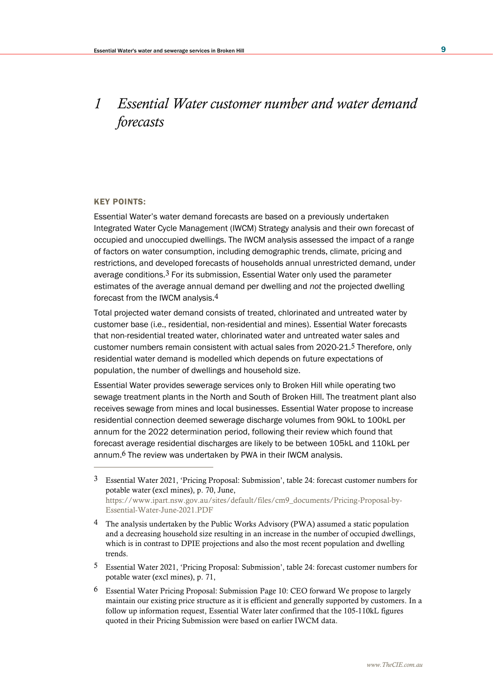# *1 Essential Water customer number and water demand forecasts*

### KEY POINTS:

Essential Water's water demand forecasts are based on a previously undertaken Integrated Water Cycle Management (IWCM) Strategy analysis and their own forecast of occupied and unoccupied dwellings. The IWCM analysis assessed the impact of a range of factors on water consumption, including demographic trends, climate, pricing and restrictions, and developed forecasts of households annual unrestricted demand, under average conditions. $3$  For its submission, Essential Water only used the parameter estimates of the average annual demand per dwelling and *not* the projected dwelling forecast from the IWCM analysis.4

Total projected water demand consists of treated, chlorinated and untreated water by customer base (i.e., residential, non-residential and mines). Essential Water forecasts that non-residential treated water, chlorinated water and untreated water sales and customer numbers remain consistent with actual sales from 2020-21.5 Therefore, only residential water demand is modelled which depends on future expectations of population, the number of dwellings and household size.

Essential Water provides sewerage services only to Broken Hill while operating two sewage treatment plants in the North and South of Broken Hill. The treatment plant also receives sewage from mines and local businesses. Essential Water propose to increase residential connection deemed sewerage discharge volumes from 90kL to 100kL per annum for the 2022 determination period, following their review which found that forecast average residential discharges are likely to be between 105kL and 110kL per annum.6 The review was undertaken by PWA in their IWCM analysis.

- 5 Essential Water 2021, 'Pricing Proposal: Submission', table 24: forecast customer numbers for potable water (excl mines), p. 71,
- 6 Essential Water Pricing Proposal: Submission Page 10: CEO forward We propose to largely maintain our existing price structure as it is efficient and generally supported by customers. In a follow up information request, Essential Water later confirmed that the 105-110kL figures quoted in their Pricing Submission were based on earlier IWCM data.

<sup>3</sup> Essential Water 2021, 'Pricing Proposal: Submission', table 24: forecast customer numbers for potable water (excl mines), p. 70, June, [https://www.ipart.nsw.gov.au/sites/default/files/cm9\\_documents/Pricing-Proposal-by-](https://www.ipart.nsw.gov.au/sites/default/files/cm9_documents/Pricing-Proposal-by-Essential-Water-June-2021.PDF)[Essential-Water-June-2021.PDF](https://www.ipart.nsw.gov.au/sites/default/files/cm9_documents/Pricing-Proposal-by-Essential-Water-June-2021.PDF)

<sup>4</sup> The analysis undertaken by the Public Works Advisory (PWA) assumed a static population and a decreasing household size resulting in an increase in the number of occupied dwellings, which is in contrast to DPIE projections and also the most recent population and dwelling trends.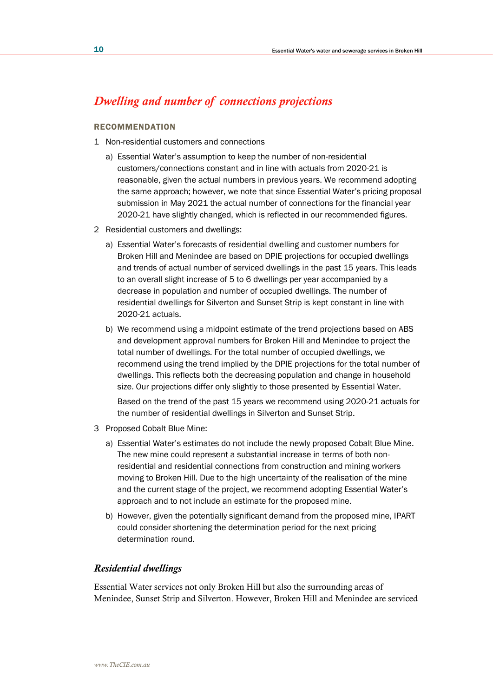# *Dwelling and number of connections projections*

### **RECOMMENDATION**

- 1 Non-residential customers and connections
	- a) Essential Water's assumption to keep the number of non-residential customers/connections constant and in line with actuals from 2020-21 is reasonable, given the actual numbers in previous years. We recommend adopting the same approach; however, we note that since Essential Water's pricing proposal submission in May 2021 the actual number of connections for the financial year 2020-21 have slightly changed, which is reflected in our recommended figures.
- 2 Residential customers and dwellings:
	- a) Essential Water's forecasts of residential dwelling and customer numbers for Broken Hill and Menindee are based on DPIE projections for occupied dwellings and trends of actual number of serviced dwellings in the past 15 years. This leads to an overall slight increase of 5 to 6 dwellings per year accompanied by a decrease in population and number of occupied dwellings. The number of residential dwellings for Silverton and Sunset Strip is kept constant in line with 2020-21 actuals.
	- b) We recommend using a midpoint estimate of the trend projections based on ABS and development approval numbers for Broken Hill and Menindee to project the total number of dwellings. For the total number of occupied dwellings, we recommend using the trend implied by the DPIE projections for the total number of dwellings. This reflects both the decreasing population and change in household size. Our projections differ only slightly to those presented by Essential Water.

Based on the trend of the past 15 years we recommend using 2020-21 actuals for the number of residential dwellings in Silverton and Sunset Strip.

- 3 Proposed Cobalt Blue Mine:
	- a) Essential Water's estimates do not include the newly proposed Cobalt Blue Mine. The new mine could represent a substantial increase in terms of both nonresidential and residential connections from construction and mining workers moving to Broken Hill. Due to the high uncertainty of the realisation of the mine and the current stage of the project, we recommend adopting Essential Water's approach and to not include an estimate for the proposed mine.
	- b) However, given the potentially significant demand from the proposed mine, IPART could consider shortening the determination period for the next pricing determination round.

### *Residential dwellings*

Essential Water services not only Broken Hill but also the surrounding areas of Menindee, Sunset Strip and Silverton. However, Broken Hill and Menindee are serviced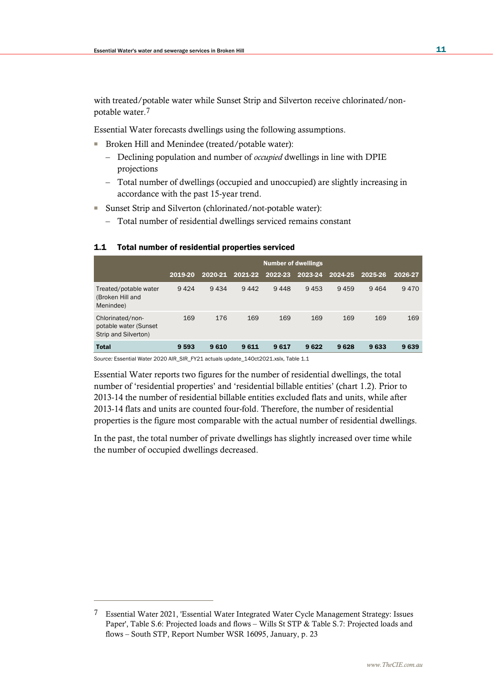with treated/potable water while Sunset Strip and Silverton receive chlorinated/nonpotable water.7

Essential Water forecasts dwellings using the following assumptions.

- Broken Hill and Menindee (treated/potable water):
	- Declining population and number of *occupied* dwellings in line with DPIE projections
	- Total number of dwellings (occupied and unoccupied) are slightly increasing in accordance with the past 15-year trend.
- Sunset Strip and Silverton (chlorinated/not-potable water):
	- Total number of residential dwellings serviced remains constant

### 1.1 Total number of residential properties serviced

|                                                                   | <b>Number of dwellings</b> |         |         |         |         |         |         |         |
|-------------------------------------------------------------------|----------------------------|---------|---------|---------|---------|---------|---------|---------|
|                                                                   | 2019-20                    | 2020-21 | 2021-22 | 2022-23 | 2023-24 | 2024-25 | 2025-26 | 2026-27 |
| Treated/potable water<br>(Broken Hill and<br>Menindee)            | 9424                       | 9434    | 9442    | 9448    | 9453    | 9459    | 9464    | 9470    |
| Chlorinated/non-<br>potable water (Sunset<br>Strip and Silverton) | 169                        | 176     | 169     | 169     | 169     | 169     | 169     | 169     |
| <b>Total</b>                                                      | 9 5 9 3                    | 9610    | 9611    | 9617    | 9622    | 9628    | 9633    | 9639    |

*Source:* Essential Water 2020 AIR\_SIR\_FY21 actuals update\_14Oct2021.xslx, Table 1.1

Essential Water reports two figures for the number of residential dwellings, the total number of 'residential properties' and 'residential billable entities' (chart 1.2). Prior to 2013-14 the number of residential billable entities excluded flats and units, while after 2013-14 flats and units are counted four-fold. Therefore, the number of residential properties is the figure most comparable with the actual number of residential dwellings.

In the past, the total number of private dwellings has slightly increased over time while the number of occupied dwellings decreased.

<sup>7</sup> Essential Water 2021, 'Essential Water Integrated Water Cycle Management Strategy: Issues Paper', Table S.6: Projected loads and flows – Wills St STP & Table S.7: Projected loads and flows – South STP, Report Number WSR 16095, January, p. 23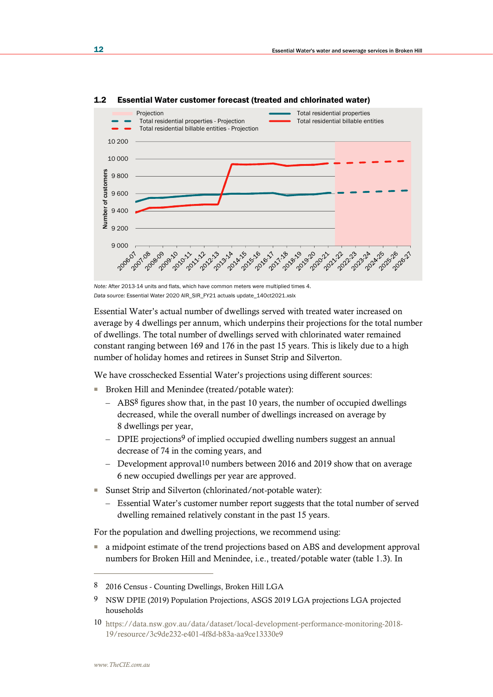

#### 1.2 Essential Water customer forecast (treated and chlorinated water)

*Note:* After 2013-14 units and flats, which have common meters were multiplied times 4. *Data source:* Essential Water 2020 AIR\_SIR\_FY21 actuals update\_14Oct2021.xslx

Essential Water's actual number of dwellings served with treated water increased on average by 4 dwellings per annum, which underpins their projections for the total number of dwellings. The total number of dwellings served with chlorinated water remained constant ranging between 169 and 176 in the past 15 years. This is likely due to a high number of holiday homes and retirees in Sunset Strip and Silverton.

We have crosschecked Essential Water's projections using different sources:

- Broken Hill and Menindee (treated/potable water):
	- ABS8 figures show that, in the past 10 years, the number of occupied dwellings decreased, while the overall number of dwellings increased on average by 8 dwellings per year,
	- DPIE projections<sup>9</sup> of implied occupied dwelling numbers suggest an annual decrease of 74 in the coming years, and
	- Development approval10 numbers between 2016 and 2019 show that on average 6 new occupied dwellings per year are approved.
- Sunset Strip and Silverton (chlorinated/not-potable water):
	- Essential Water's customer number report suggests that the total number of served dwelling remained relatively constant in the past 15 years.

For the population and dwelling projections, we recommend using:

■ a midpoint estimate of the trend projections based on ABS and development approval numbers for Broken Hill and Menindee, i.e., treated/potable water (table 1.3). In

9 NSW DPIE (2019) Population Projections, ASGS 2019 LGA projections LGA projected households

<sup>8</sup> 2016 Census - Counting Dwellings, Broken Hill LGA

<sup>10</sup> [https://data.nsw.gov.au/data/dataset/local-development-performance-monitoring-2018-](https://data.nsw.gov.au/data/dataset/local-development-performance-monitoring-2018-19/resource/3c9de232-e401-4f8d-b83a-aa9ce13330e9) [19/resource/3c9de232-e401-4f8d-b83a-aa9ce13330e9](https://data.nsw.gov.au/data/dataset/local-development-performance-monitoring-2018-19/resource/3c9de232-e401-4f8d-b83a-aa9ce13330e9)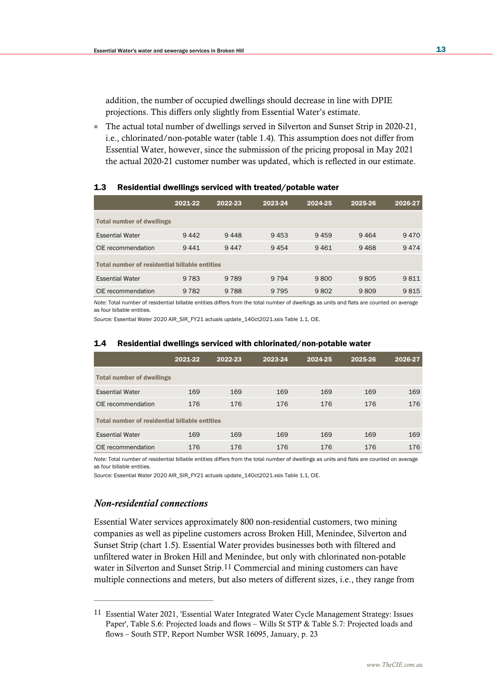addition, the number of occupied dwellings should decrease in line with DPIE projections. This differs only slightly from Essential Water's estimate.

■ The actual total number of dwellings served in Silverton and Sunset Strip in 2020-21, i.e., chlorinated/non-potable water (table 1.4). This assumption does not differ from Essential Water, however, since the submission of the pricing proposal in May 2021 the actual 2020-21 customer number was updated, which is reflected in our estimate.

| 1.3 <sub>1</sub> | Residential dwellings serviced with treated/potable water |  |  |  |
|------------------|-----------------------------------------------------------|--|--|--|
|------------------|-----------------------------------------------------------|--|--|--|

|                                               | 2021-22 | 2022-23 | 2023-24 | 2024-25 | 2025-26 | 2026-27 |
|-----------------------------------------------|---------|---------|---------|---------|---------|---------|
| <b>Total number of dwellings</b>              |         |         |         |         |         |         |
| <b>Essential Water</b>                        | 9442    | 9448    | 9453    | 9459    | 9464    | 9470    |
| CIE recommendation                            | 9441    | 9447    | 9454    | 9461    | 9468    | 9474    |
| Total number of residential billable entities |         |         |         |         |         |         |
| <b>Essential Water</b>                        | 9 7 8 3 | 9 7 8 9 | 9 7 9 4 | 9800    | 9805    | 9811    |
| CIE recommendation                            | 9 7 8 2 | 9 7 8 8 | 9 7 9 5 | 9802    | 9809    | 9815    |

*Note:* Total number of residential billable entities differs from the total number of dwellings as units and flats are counted on average as four billable entities.

*Source:* Essential Water 2020 AIR\_SIR\_FY21 actuals update\_14Oct2021.xslx Table 1.1, CIE.

|                                                      | 2021-22 | 2022-23 | 2023-24 | 2024-25 | 2025-26 | 2026-27 |  |  |  |
|------------------------------------------------------|---------|---------|---------|---------|---------|---------|--|--|--|
| <b>Total number of dwellings</b>                     |         |         |         |         |         |         |  |  |  |
| <b>Essential Water</b>                               | 169     | 169     | 169     | 169     | 169     | 169     |  |  |  |
| CIE recommendation                                   | 176     | 176     | 176     | 176     | 176     | 176     |  |  |  |
| <b>Total number of residential billable entities</b> |         |         |         |         |         |         |  |  |  |
| <b>Essential Water</b>                               | 169     | 169     | 169     | 169     | 169     | 169     |  |  |  |
| CIE recommendation                                   | 176     | 176     | 176     | 176     | 176     | 176     |  |  |  |

#### 1.4 Residential dwellings serviced with chlorinated/non-potable water

*Note:* Total number of residential billable entities differs from the total number of dwellings as units and flats are counted on average as four billable entities.

*Source:* Essential Water 2020 AIR\_SIR\_FY21 actuals update\_14Oct2021.xslx Table 1.1, CIE.

### *Non-residential connections*

Essential Water services approximately 800 non-residential customers, two mining companies as well as pipeline customers across Broken Hill, Menindee, Silverton and Sunset Strip (chart 1.5). Essential Water provides businesses both with filtered and unfiltered water in Broken Hill and Menindee, but only with chlorinated non-potable water in Silverton and Sunset Strip.11 Commercial and mining customers can have multiple connections and meters, but also meters of different sizes, i.e., they range from

<sup>11</sup> Essential Water 2021, 'Essential Water Integrated Water Cycle Management Strategy: Issues Paper', Table S.6: Projected loads and flows – Wills St STP & Table S.7: Projected loads and flows – South STP, Report Number WSR 16095, January, p. 23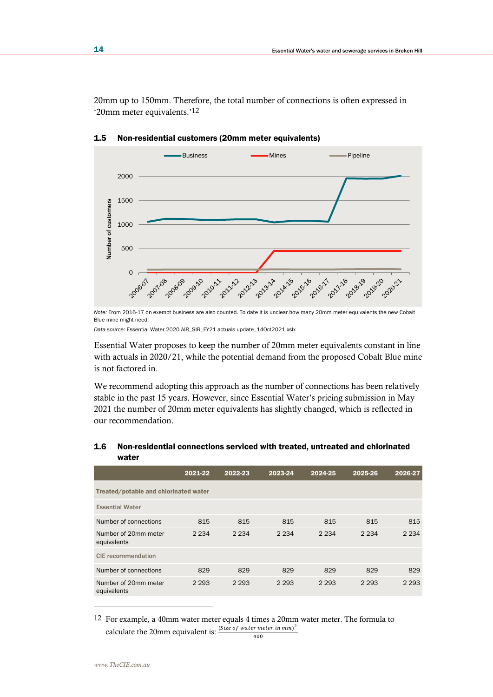20mm up to 150mm. Therefore, the total number of connections is often expressed in '20mm meter equivalents.'12



1.5 Non-residential customers (20mm meter equivalents)

Essential Water proposes to keep the number of 20mm meter equivalents constant in line with actuals in 2020/21, while the potential demand from the proposed Cobalt Blue mine is not factored in.

We recommend adopting this approach as the number of connections has been relatively stable in the past 15 years. However, since Essential Water's pricing submission in May 2021 the number of 20mm meter equivalents has slightly changed, which is reflected in our recommendation.

### 1.6 Non-residential connections serviced with treated, untreated and chlorinated water

|                                       | 2021-22 | 2022-23 | 2023-24 | 2024-25 | 2025-26 | 2026-27 |
|---------------------------------------|---------|---------|---------|---------|---------|---------|
| Treated/potable and chlorinated water |         |         |         |         |         |         |
| <b>Essential Water</b>                |         |         |         |         |         |         |
| Number of connections                 | 815     | 815     | 815     | 815     | 815     | 815     |
| Number of 20mm meter<br>equivalents   | 2 2 3 4 | 2 2 3 4 | 2 2 3 4 | 2 2 3 4 | 2 2 3 4 | 2 2 3 4 |
| <b>CIE</b> recommendation             |         |         |         |         |         |         |
| Number of connections                 | 829     | 829     | 829     | 829     | 829     | 829     |
| Number of 20mm meter<br>equivalents   | 2 2 9 3 | 2 2 9 3 | 2 2 9 3 | 2 2 9 3 | 2 2 9 3 | 2 2 9 3 |

12 For example, a 40mm water meter equals 4 times a 20mm water meter. The formula to calculate the 20mm equivalent is:  $\frac{(Size\ of\ water\ meter\ in\ mm)^2}{100}$ 400

*Note:* From 2016-17 on exempt business are also counted. To date it is unclear how many 20mm meter equivalents the new Cobalt Blue mine might need.

*Data source:* Essential Water 2020 AIR\_SIR\_FY21 actuals update\_14Oct2021.xslx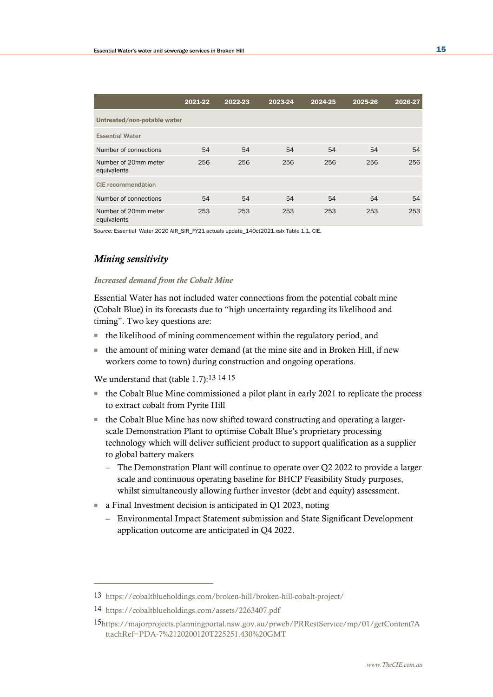|                                     | 2021-22 | 2022-23 | 2023-24 | 2024-25 | 2025-26 | 2026-27 |
|-------------------------------------|---------|---------|---------|---------|---------|---------|
| Untreated/non-potable water         |         |         |         |         |         |         |
| <b>Essential Water</b>              |         |         |         |         |         |         |
| Number of connections               | 54      | 54      | 54      | 54      | 54      | 54      |
| Number of 20mm meter<br>equivalents | 256     | 256     | 256     | 256     | 256     | 256     |
| <b>CIE</b> recommendation           |         |         |         |         |         |         |
| Number of connections               | 54      | 54      | 54      | 54      | 54      | 54      |
| Number of 20mm meter<br>equivalents | 253     | 253     | 253     | 253     | 253     | 253     |

*Source:* Essential Water 2020 AIR\_SIR\_FY21 actuals update\_14Oct2021.xslx Table 1.1, CIE.

### *Mining sensitivity*

### *Increased demand from the Cobalt Mine*

Essential Water has not included water connections from the potential cobalt mine (Cobalt Blue) in its forecasts due to "high uncertainty regarding its likelihood and timing". Two key questions are:

- the likelihood of mining commencement within the regulatory period, and
- the amount of mining water demand (at the mine site and in Broken Hill, if new workers come to town) during construction and ongoing operations.

We understand that (table 1.7):13 14 15

- the Cobalt Blue Mine commissioned a pilot plant in early 2021 to replicate the process to extract cobalt from Pyrite Hill
- the Cobalt Blue Mine has now shifted toward constructing and operating a largerscale Demonstration Plant to optimise Cobalt Blue's proprietary processing technology which will deliver sufficient product to support qualification as a supplier to global battery makers
	- The Demonstration Plant will continue to operate over Q2 2022 to provide a larger scale and continuous operating baseline for BHCP Feasibility Study purposes, whilst simultaneously allowing further investor (debt and equity) assessment.
- a Final Investment decision is anticipated in Q1 2023, noting
	- Environmental Impact Statement submission and State Significant Development application outcome are anticipated in Q4 2022.

<sup>13</sup> <https://cobaltblueholdings.com/broken-hill/broken-hill-cobalt-project/>

<sup>14</sup> <https://cobaltblueholdings.com/assets/2263407.pdf>

<sup>15</sup>[https://majorprojects.planningportal.nsw.gov.au/prweb/PRRestService/mp/01/getContent?A](https://majorprojects.planningportal.nsw.gov.au/prweb/PRRestService/mp/01/getContent?AttachRef=PDA-7%2120200120T225251.430%20GMT) [ttachRef=PDA-7%2120200120T225251.430%20GMT](https://majorprojects.planningportal.nsw.gov.au/prweb/PRRestService/mp/01/getContent?AttachRef=PDA-7%2120200120T225251.430%20GMT)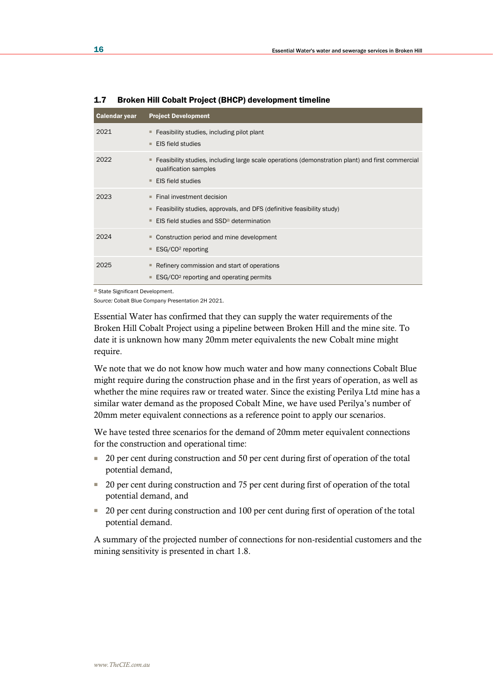| <b>Calendar year</b> | <b>Project Development</b>                                                                                                                                                  |
|----------------------|-----------------------------------------------------------------------------------------------------------------------------------------------------------------------------|
| 2021                 | Feasibility studies, including pilot plant<br>ш<br>EIS field studies<br>٠                                                                                                   |
| 2022                 | Feasibility studies, including large scale operations (demonstration plant) and first commercial<br>ш<br>qualification samples<br><b>EIS field studies</b><br>٠             |
| 2023                 | Final investment decision<br>л.<br>Feasibility studies, approvals, and DFS (definitive feasibility study)<br>ш<br>EIS field studies and SSD <sup>a</sup> determination<br>٠ |
| 2024                 | Construction period and mine development<br>ESG/CO <sup>2</sup> reporting<br>ш                                                                                              |
| 2025                 | Refinery commission and start of operations<br>ш<br>ESG/CO <sup>2</sup> reporting and operating permits                                                                     |

1.7 Broken Hill Cobalt Project (BHCP) development timeline

a State Significant Development.

*Source:* Cobalt Blue Company Presentation 2H 2021.

Essential Water has confirmed that they can supply the water requirements of the Broken Hill Cobalt Project using a pipeline between Broken Hill and the mine site. To date it is unknown how many 20mm meter equivalents the new Cobalt mine might require.

We note that we do not know how much water and how many connections Cobalt Blue might require during the construction phase and in the first years of operation, as well as whether the mine requires raw or treated water. Since the existing Perilya Ltd mine has a similar water demand as the proposed Cobalt Mine, we have used Perilya's number of 20mm meter equivalent connections as a reference point to apply our scenarios.

We have tested three scenarios for the demand of 20mm meter equivalent connections for the construction and operational time:

- 20 per cent during construction and 50 per cent during first of operation of the total potential demand,
- 20 per cent during construction and 75 per cent during first of operation of the total potential demand, and
- 20 per cent during construction and 100 per cent during first of operation of the total potential demand.

A summary of the projected number of connections for non-residential customers and the mining sensitivity is presented in chart 1.8.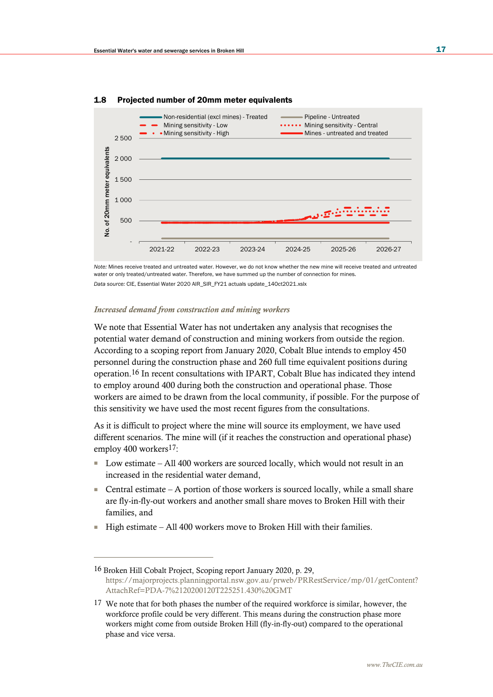

#### 1.8 Projected number of 20mm meter equivalents

*Note:* Mines receive treated and untreated water. However, we do not know whether the new mine will receive treated and untreated water or only treated/untreated water. Therefore, we have summed up the number of connection for mines. *Data source:* CIE, Essential Water 2020 AIR\_SIR\_FY21 actuals update\_14Oct2021.xslx

#### *Increased demand from construction and mining workers*

We note that Essential Water has not undertaken any analysis that recognises the potential water demand of construction and mining workers from outside the region. According to a scoping report from January 2020, Cobalt Blue intends to employ 450 personnel during the construction phase and 260 full time equivalent positions during operation.16 In recent consultations with IPART, Cobalt Blue has indicated they intend to employ around 400 during both the construction and operational phase. Those workers are aimed to be drawn from the local community, if possible. For the purpose of this sensitivity we have used the most recent figures from the consultations.

As it is difficult to project where the mine will source its employment, we have used different scenarios. The mine will (if it reaches the construction and operational phase) employ 400 workers17:

- Low estimate All 400 workers are sourced locally, which would not result in an increased in the residential water demand,
- **•** Central estimate A portion of those workers is sourced locally, while a small share are fly-in-fly-out workers and another small share moves to Broken Hill with their families, and
- High estimate All 400 workers move to Broken Hill with their families.

<sup>16</sup> Broken Hill Cobalt Project, Scoping report January 2020, p. 29, [https://majorprojects.planningportal.nsw.gov.au/prweb/PRRestService/mp/01/getContent?](https://majorprojects.planningportal.nsw.gov.au/prweb/PRRestService/mp/01/getContent?AttachRef=PDA-7%2120200120T225251.430%20GMT) [AttachRef=PDA-7%2120200120T225251.430%20GMT](https://majorprojects.planningportal.nsw.gov.au/prweb/PRRestService/mp/01/getContent?AttachRef=PDA-7%2120200120T225251.430%20GMT)

<sup>17</sup> We note that for both phases the number of the required workforce is similar, however, the workforce profile could be very different. This means during the construction phase more workers might come from outside Broken Hill (fly-in-fly-out) compared to the operational phase and vice versa.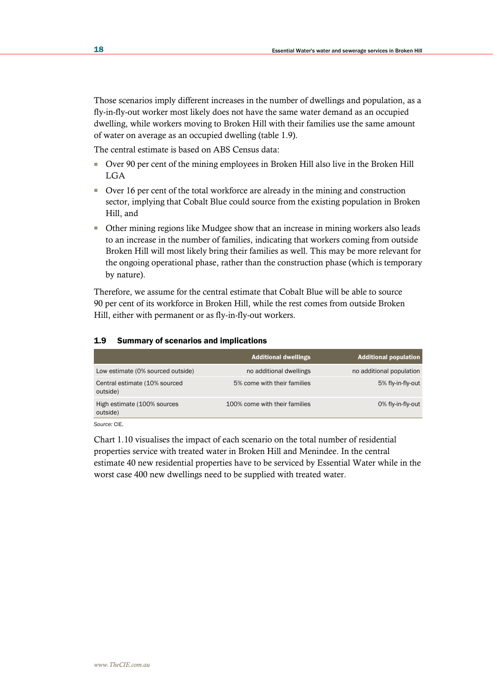Those scenarios imply different increases in the number of dwellings and population, as a fly-in-fly-out worker most likely does not have the same water demand as an occupied dwelling, while workers moving to Broken Hill with their families use the same amount of water on average as an occupied dwelling (table 1.9).

The central estimate is based on ABS Census data:

- Over 90 per cent of the mining employees in Broken Hill also live in the Broken Hill LGA
- Over 16 per cent of the total workforce are already in the mining and construction sector, implying that Cobalt Blue could source from the existing population in Broken Hill, and
- Other mining regions like Mudgee show that an increase in mining workers also leads to an increase in the number of families, indicating that workers coming from outside Broken Hill will most likely bring their families as well. This may be more relevant for the ongoing operational phase, rather than the construction phase (which is temporary by nature).

Therefore, we assume for the central estimate that Cobalt Blue will be able to source 90 per cent of its workforce in Broken Hill, while the rest comes from outside Broken Hill, either with permanent or as fly-in-fly-out workers.

#### 1.9 Summary of scenarios and implications

|                                           | <b>Additional dwellings</b>   | <b>Additional population</b> |
|-------------------------------------------|-------------------------------|------------------------------|
| Low estimate (0% sourced outside)         | no additional dwellings       | no additional population     |
| Central estimate (10% sourced<br>outside) | 5% come with their families   | 5% fly-in-fly-out            |
| High estimate (100% sources<br>outside)   | 100% come with their families | 0% fly-in-fly-out            |

*Source:* CIE.

Chart 1.10 visualises the impact of each scenario on the total number of residential properties service with treated water in Broken Hill and Menindee. In the central estimate 40 new residential properties have to be serviced by Essential Water while in the worst case 400 new dwellings need to be supplied with treated water.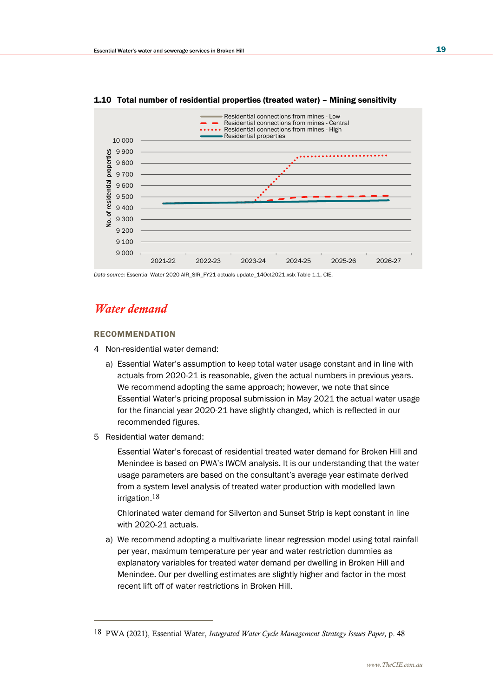

1.10 Total number of residential properties (treated water) – Mining sensitivity

*Data source:* Essential Water 2020 AIR\_SIR\_FY21 actuals update\_14Oct2021.xslx Table 1.1, CIE.

# *Water demand*

### RECOMMENDATION

- 4 Non-residential water demand:
	- a) Essential Water's assumption to keep total water usage constant and in line with actuals from 2020-21 is reasonable, given the actual numbers in previous years. We recommend adopting the same approach; however, we note that since Essential Water's pricing proposal submission in May 2021 the actual water usage for the financial year 2020-21 have slightly changed, which is reflected in our recommended figures.
- 5 Residential water demand:

Essential Water's forecast of residential treated water demand for Broken Hill and Menindee is based on PWA's IWCM analysis. It is our understanding that the water usage parameters are based on the consultant's average year estimate derived from a system level analysis of treated water production with modelled lawn irrigation.18

Chlorinated water demand for Silverton and Sunset Strip is kept constant in line with 2020-21 actuals.

a) We recommend adopting a multivariate linear regression model using total rainfall per year, maximum temperature per year and water restriction dummies as explanatory variables for treated water demand per dwelling in Broken Hill and Menindee. Our per dwelling estimates are slightly higher and factor in the most recent lift off of water restrictions in Broken Hill.

<sup>18</sup> PWA (2021), Essential Water, *Integrated Water Cycle Management Strategy Issues Paper,* p. 48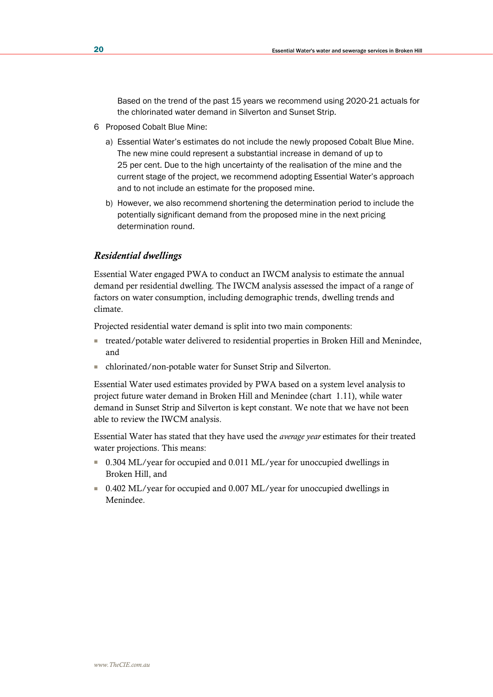Based on the trend of the past 15 years we recommend using 2020-21 actuals for the chlorinated water demand in Silverton and Sunset Strip.

- 6 Proposed Cobalt Blue Mine:
	- a) Essential Water's estimates do not include the newly proposed Cobalt Blue Mine. The new mine could represent a substantial increase in demand of up to 25 per cent. Due to the high uncertainty of the realisation of the mine and the current stage of the project, we recommend adopting Essential Water's approach and to not include an estimate for the proposed mine.
	- b) However, we also recommend shortening the determination period to include the potentially significant demand from the proposed mine in the next pricing determination round.

### *Residential dwellings*

Essential Water engaged PWA to conduct an IWCM analysis to estimate the annual demand per residential dwelling. The IWCM analysis assessed the impact of a range of factors on water consumption, including demographic trends, dwelling trends and climate.

Projected residential water demand is split into two main components:

- treated/potable water delivered to residential properties in Broken Hill and Menindee, and
- chlorinated/non-potable water for Sunset Strip and Silverton.

Essential Water used estimates provided by PWA based on a system level analysis to project future water demand in Broken Hill and Menindee (chart 1.11), while water demand in Sunset Strip and Silverton is kept constant. We note that we have not been able to review the IWCM analysis.

Essential Water has stated that they have used the *average year* estimates for their treated water projections. This means:

- 0.304 ML/year for occupied and 0.011 ML/year for unoccupied dwellings in Broken Hill, and
- 0.402 ML/year for occupied and 0.007 ML/year for unoccupied dwellings in Menindee.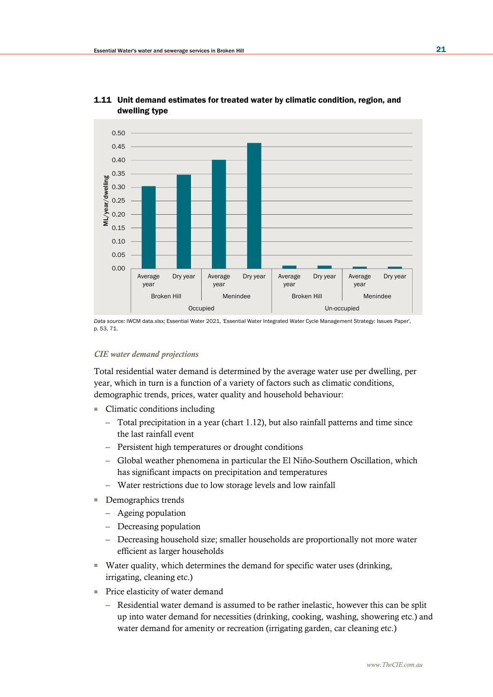

### 1.11 Unit demand estimates for treated water by climatic condition, region, and dwelling type

*Data source:* IWCM data.xlsx; Essential Water 2021, 'Essential Water Integrated Water Cycle Management Strategy: Issues Paper', p. 53, 71.

### *CIE water demand projections*

Total residential water demand is determined by the average water use per dwelling, per year, which in turn is a function of a variety of factors such as climatic conditions, demographic trends, prices, water quality and household behaviour:

- Climatic conditions including
	- Total precipitation in a year (chart 1.12), but also rainfall patterns and time since the last rainfall event
	- Persistent high temperatures or drought conditions
	- Global weather phenomena in particular the El Niño-Southern Oscillation, which has significant impacts on precipitation and temperatures
	- Water restrictions due to low storage levels and low rainfall
- Demographics trends
	- Ageing population
	- Decreasing population
	- Decreasing household size; smaller households are proportionally not more water efficient as larger households
- Water quality, which determines the demand for specific water uses (drinking, irrigating, cleaning etc.)
- Price elasticity of water demand
	- Residential water demand is assumed to be rather inelastic, however this can be split up into water demand for necessities (drinking, cooking, washing, showering etc.) and water demand for amenity or recreation (irrigating garden, car cleaning etc.)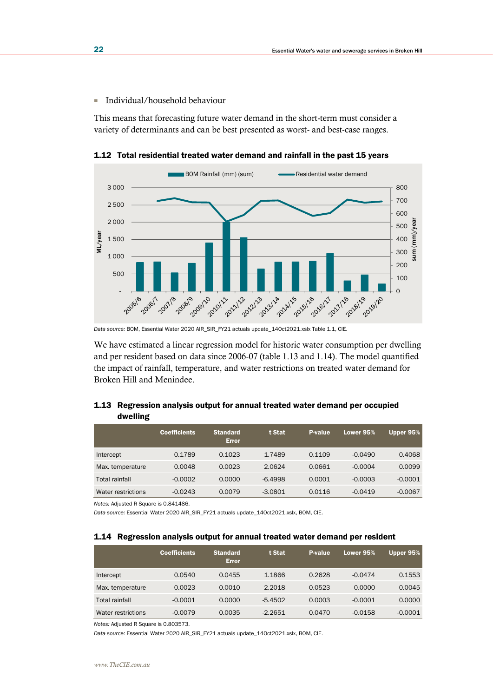■ Individual/household behaviour

This means that forecasting future water demand in the short-term must consider a variety of determinants and can be best presented as worst- and best-case ranges.



1.12 Total residential treated water demand and rainfall in the past 15 years

*Data source:* BOM, Essential Water 2020 AIR\_SIR\_FY21 actuals update\_14Oct2021.xslx Table 1.1, CIE.

We have estimated a linear regression model for historic water consumption per dwelling and per resident based on data since 2006-07 (table 1.13 and 1.14). The model quantified the impact of rainfall, temperature, and water restrictions on treated water demand for Broken Hill and Menindee.

### 1.13 Regression analysis output for annual treated water demand per occupied dwelling

|                    | <b>Coefficients</b> | <b>Standard</b><br><b>Error</b> | t Stat    | P-value | Lower 95% | Upper 95% |
|--------------------|---------------------|---------------------------------|-----------|---------|-----------|-----------|
| Intercept          | 0.1789              | 0.1023                          | 1.7489    | 0.1109  | $-0.0490$ | 0.4068    |
| Max. temperature   | 0.0048              | 0.0023                          | 2.0624    | 0.0661  | $-0.0004$ | 0.0099    |
| Total rainfall     | $-0.0002$           | 0.0000                          | $-6.4998$ | 0.0001  | $-0.0003$ | $-0.0001$ |
| Water restrictions | $-0.0243$           | 0.0079                          | $-3.0801$ | 0.0116  | $-0.0419$ | $-0.0067$ |

*Notes:* Adjusted R Square is 0.841486.

*Data source:* Essential Water 2020 AIR\_SIR\_FY21 actuals update\_14Oct2021.xslx, BOM, CIE.

#### 1.14 Regression analysis output for annual treated water demand per resident

|                    | <b>Coefficients</b> | <b>Standard</b><br><b>Error</b> | t Stat    | P-value | Lower 95% | Upper 95% |
|--------------------|---------------------|---------------------------------|-----------|---------|-----------|-----------|
| Intercept          | 0.0540              | 0.0455                          | 1.1866    | 0.2628  | $-0.0474$ | 0.1553    |
| Max. temperature   | 0.0023              | 0.0010                          | 2.2018    | 0.0523  | 0.0000    | 0.0045    |
| Total rainfall     | $-0.0001$           | 0.0000                          | $-5.4502$ | 0.0003  | $-0.0001$ | 0.0000    |
| Water restrictions | $-0.0079$           | 0.0035                          | $-2.2651$ | 0.0470  | $-0.0158$ | $-0.0001$ |

*Notes:* Adjusted R Square is 0.803573.

*Data source:* Essential Water 2020 AIR\_SIR\_FY21 actuals update\_14Oct2021.xslx, BOM, CIE.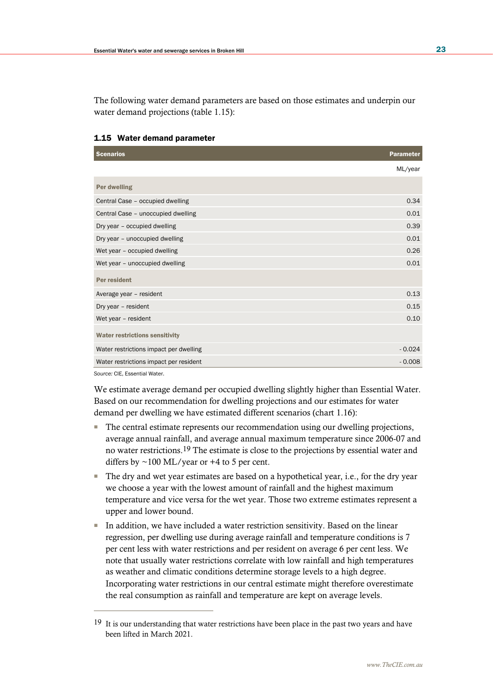The following water demand parameters are based on those estimates and underpin our water demand projections (table 1.15):

| <b>Scenarios</b>                       | <b>Parameter</b> |
|----------------------------------------|------------------|
|                                        | ML/year          |
| Per dwelling                           |                  |
| Central Case - occupied dwelling       | 0.34             |
| Central Case - unoccupied dwelling     | 0.01             |
| Dry year - occupied dwelling           | 0.39             |
| Dry year - unoccupied dwelling         | 0.01             |
| Wet year - occupied dwelling           | 0.26             |
| Wet year - unoccupied dwelling         | 0.01             |
| Per resident                           |                  |
| Average year - resident                | 0.13             |
| Dry year - resident                    | 0.15             |
| Wet year - resident                    | 0.10             |
| <b>Water restrictions sensitivity</b>  |                  |
| Water restrictions impact per dwelling | $-0.024$         |
| Water restrictions impact per resident | $-0.008$         |

### 1.15 Water demand parameter

*Source:* CIE, Essential Water.

We estimate average demand per occupied dwelling slightly higher than Essential Water. Based on our recommendation for dwelling projections and our estimates for water demand per dwelling we have estimated different scenarios (chart 1.16):

- The central estimate represents our recommendation using our dwelling projections, average annual rainfall, and average annual maximum temperature since 2006-07 and no water restrictions.19 The estimate is close to the projections by essential water and differs by  $\sim$ 100 ML/year or +4 to 5 per cent.
- The dry and wet year estimates are based on a hypothetical year, i.e., for the dry year we choose a year with the lowest amount of rainfall and the highest maximum temperature and vice versa for the wet year. Those two extreme estimates represent a upper and lower bound.
- In addition, we have included a water restriction sensitivity. Based on the linear regression, per dwelling use during average rainfall and temperature conditions is 7 per cent less with water restrictions and per resident on average 6 per cent less. We note that usually water restrictions correlate with low rainfall and high temperatures as weather and climatic conditions determine storage levels to a high degree. Incorporating water restrictions in our central estimate might therefore overestimate the real consumption as rainfall and temperature are kept on average levels.

<sup>&</sup>lt;sup>19</sup> It is our understanding that water restrictions have been place in the past two years and have been lifted in March 2021.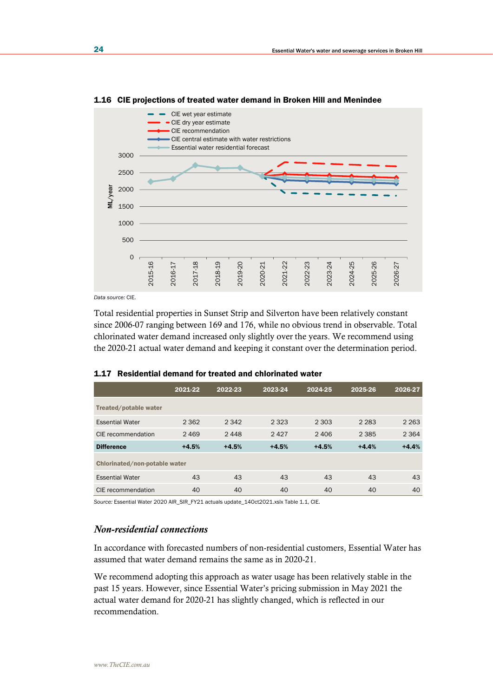

#### 1.16 CIE projections of treated water demand in Broken Hill and Menindee

*Data source:* CIE.

Total residential properties in Sunset Strip and Silverton have been relatively constant since 2006-07 ranging between 169 and 176, while no obvious trend in observable. Total chlorinated water demand increased only slightly over the years. We recommend using the 2020-21 actual water demand and keeping it constant over the determination period.

|                               | 2021-22 | 2022-23 | 2023-24 | 2024-25 | 2025-26 | 2026-27 |
|-------------------------------|---------|---------|---------|---------|---------|---------|
| Treated/potable water         |         |         |         |         |         |         |
| <b>Essential Water</b>        | 2 3 6 2 | 2 3 4 2 | 2 3 2 3 | 2 3 0 3 | 2 2 8 3 | 2 2 6 3 |
| CIE recommendation            | 2469    | 2448    | 2427    | 2406    | 2 3 8 5 | 2 3 6 4 |
| <b>Difference</b>             | $+4.5%$ | $+4.5%$ | $+4.5%$ | $+4.5%$ | $+4.4%$ | $+4.4%$ |
| Chlorinated/non-potable water |         |         |         |         |         |         |
| <b>Essential Water</b>        | 43      | 43      | 43      | 43      | 43      | 43      |
| CIE recommendation            | 40      | 40      | 40      | 40      | 40      | 40      |

#### 1.17 Residential demand for treated and chlorinated water

*Source:* Essential Water 2020 AIR\_SIR\_FY21 actuals update\_14Oct2021.xslx Table 1.1, CIE.

### *Non-residential connections*

In accordance with forecasted numbers of non-residential customers, Essential Water has assumed that water demand remains the same as in 2020-21.

We recommend adopting this approach as water usage has been relatively stable in the past 15 years. However, since Essential Water's pricing submission in May 2021 the actual water demand for 2020-21 has slightly changed, which is reflected in our recommendation.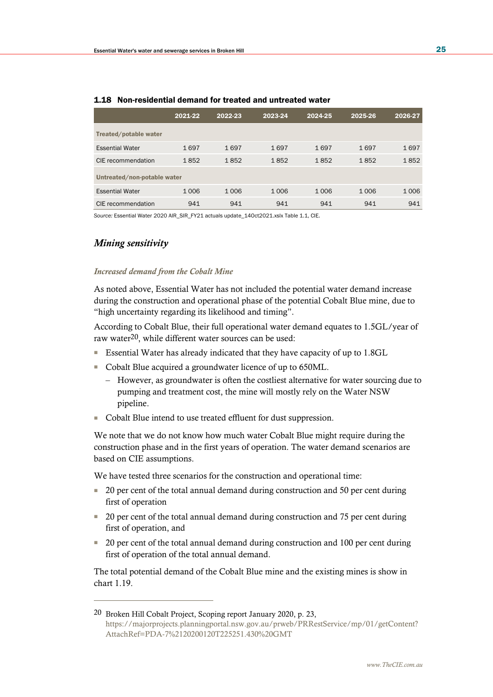|                             | 2021-22 | 2022-23 | 2023-24 | 2024-25 | 2025-26 | 2026-27 |  |  |  |
|-----------------------------|---------|---------|---------|---------|---------|---------|--|--|--|
| Treated/potable water       |         |         |         |         |         |         |  |  |  |
| <b>Essential Water</b>      | 1697    | 1697    | 1697    | 1697    | 1697    | 1697    |  |  |  |
| CIE recommendation          | 1852    | 1852    | 1852    | 1852    | 1852    | 1852    |  |  |  |
| Untreated/non-potable water |         |         |         |         |         |         |  |  |  |
| <b>Essential Water</b>      | 1006    | 1006    | 1006    | 1006    | 1006    | 1 0 0 6 |  |  |  |
| CIE recommendation          | 941     | 941     | 941     | 941     | 941     | 941     |  |  |  |

#### 1.18 Non-residential demand for treated and untreated water

*Source:* Essential Water 2020 AIR\_SIR\_FY21 actuals update\_14Oct2021.xslx Table 1.1, CIE.

### *Mining sensitivity*

#### *Increased demand from the Cobalt Mine*

As noted above, Essential Water has not included the potential water demand increase during the construction and operational phase of the potential Cobalt Blue mine, due to "high uncertainty regarding its likelihood and timing".

According to Cobalt Blue, their full operational water demand equates to 1.5GL/year of raw water20, while different water sources can be used:

- Essential Water has already indicated that they have capacity of up to 1.8GL
- Cobalt Blue acquired a groundwater licence of up to 650ML.
	- However, as groundwater is often the costliest alternative for water sourcing due to pumping and treatment cost, the mine will mostly rely on the Water NSW pipeline.
- Cobalt Blue intend to use treated effluent for dust suppression.

We note that we do not know how much water Cobalt Blue might require during the construction phase and in the first years of operation. The water demand scenarios are based on CIE assumptions.

We have tested three scenarios for the construction and operational time:

- 20 per cent of the total annual demand during construction and 50 per cent during first of operation
- 20 per cent of the total annual demand during construction and 75 per cent during first of operation, and
- 20 per cent of the total annual demand during construction and 100 per cent during first of operation of the total annual demand.

The total potential demand of the Cobalt Blue mine and the existing mines is show in chart 1.19.

<sup>20</sup> Broken Hill Cobalt Project, Scoping report January 2020, p. 23, [https://majorprojects.planningportal.nsw.gov.au/prweb/PRRestService/mp/01/getContent?](https://majorprojects.planningportal.nsw.gov.au/prweb/PRRestService/mp/01/getContent?AttachRef=PDA-7%2120200120T225251.430%20GMT) [AttachRef=PDA-7%2120200120T225251.430%20GMT](https://majorprojects.planningportal.nsw.gov.au/prweb/PRRestService/mp/01/getContent?AttachRef=PDA-7%2120200120T225251.430%20GMT)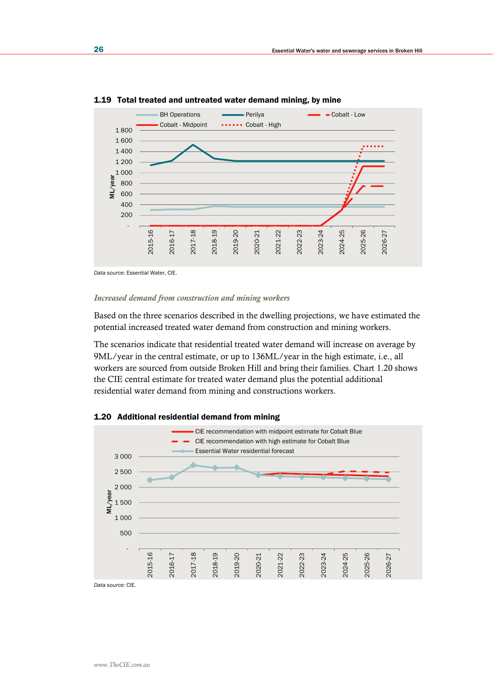

1.19 Total treated and untreated water demand mining, by mine

*Data source:* Essential Water, CIE.

#### *Increased demand from construction and mining workers*

Based on the three scenarios described in the dwelling projections, we have estimated the potential increased treated water demand from construction and mining workers.

The scenarios indicate that residential treated water demand will increase on average by 9ML/year in the central estimate, or up to 136ML/year in the high estimate, i.e., all workers are sourced from outside Broken Hill and bring their families. Chart 1.20 shows the CIE central estimate for treated water demand plus the potential additional residential water demand from mining and constructions workers.



1.20 Additional residential demand from mining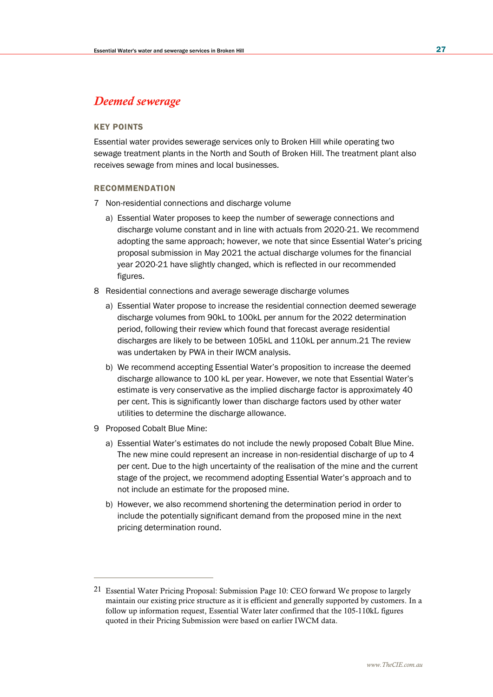## *Deemed sewerage*

### KEY POINTS

Essential water provides sewerage services only to Broken Hill while operating two sewage treatment plants in the North and South of Broken Hill. The treatment plant also receives sewage from mines and local businesses.

#### RECOMMENDATION

- 7 Non-residential connections and discharge volume
	- a) Essential Water proposes to keep the number of sewerage connections and discharge volume constant and in line with actuals from 2020-21. We recommend adopting the same approach; however, we note that since Essential Water's pricing proposal submission in May 2021 the actual discharge volumes for the financial year 2020-21 have slightly changed, which is reflected in our recommended figures.
- 8 Residential connections and average sewerage discharge volumes
	- a) Essential Water propose to increase the residential connection deemed sewerage discharge volumes from 90kL to 100kL per annum for the 2022 determination period, following their review which found that forecast average residential discharges are likely to be between 105kL and 110kL per annum.21 The review was undertaken by PWA in their IWCM analysis.
	- b) We recommend accepting Essential Water's proposition to increase the deemed discharge allowance to 100 kL per year. However, we note that Essential Water's estimate is very conservative as the implied discharge factor is approximately 40 per cent. This is significantly lower than discharge factors used by other water utilities to determine the discharge allowance.
- 9 Proposed Cobalt Blue Mine:
	- a) Essential Water's estimates do not include the newly proposed Cobalt Blue Mine. The new mine could represent an increase in non-residential discharge of up to 4 per cent. Due to the high uncertainty of the realisation of the mine and the current stage of the project, we recommend adopting Essential Water's approach and to not include an estimate for the proposed mine.
	- b) However, we also recommend shortening the determination period in order to include the potentially significant demand from the proposed mine in the next pricing determination round.

<sup>21</sup> Essential Water Pricing Proposal: Submission Page 10: CEO forward We propose to largely maintain our existing price structure as it is efficient and generally supported by customers. In a follow up information request, Essential Water later confirmed that the 105-110kL figures quoted in their Pricing Submission were based on earlier IWCM data.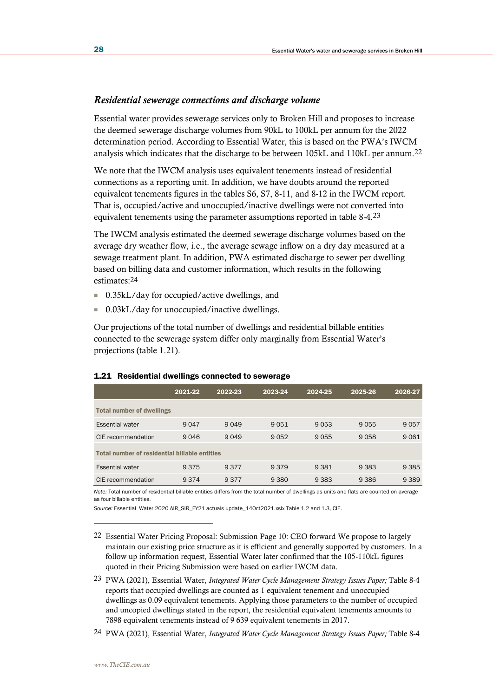### *Residential sewerage connections and discharge volume*

Essential water provides sewerage services only to Broken Hill and proposes to increase the deemed sewerage discharge volumes from 90kL to 100kL per annum for the 2022 determination period. According to Essential Water, this is based on the PWA's IWCM analysis which indicates that the discharge to be between 105kL and 110kL per annum.22

We note that the IWCM analysis uses equivalent tenements instead of residential connections as a reporting unit. In addition, we have doubts around the reported equivalent tenements figures in the tables S6, S7, 8-11, and 8-12 in the IWCM report. That is, occupied/active and unoccupied/inactive dwellings were not converted into equivalent tenements using the parameter assumptions reported in table 8-4.23

The IWCM analysis estimated the deemed sewerage discharge volumes based on the average dry weather flow, i.e., the average sewage inflow on a dry day measured at a sewage treatment plant. In addition, PWA estimated discharge to sewer per dwelling based on billing data and customer information, which results in the following estimates:24

- 0.35kL/day for occupied/active dwellings, and
- 0.03kL/day for unoccupied/inactive dwellings.

Our projections of the total number of dwellings and residential billable entities connected to the sewerage system differ only marginally from Essential Water's projections (table 1.21).

|                                  | 2021-22                                       | 2022-23 | 2023-24 | 2024-25 | 2025-26 | 2026-27 |  |  |  |  |
|----------------------------------|-----------------------------------------------|---------|---------|---------|---------|---------|--|--|--|--|
| <b>Total number of dwellings</b> |                                               |         |         |         |         |         |  |  |  |  |
| <b>Essential water</b>           | 9 0 4 7                                       | 9 0 4 9 | 9051    | 9053    | 9055    | 9057    |  |  |  |  |
| CIE recommendation               | 9 0 4 6                                       | 9 0 4 9 | 9052    | 9055    | 9058    | 9061    |  |  |  |  |
|                                  | Total number of residential billable entities |         |         |         |         |         |  |  |  |  |
| <b>Essential water</b>           | 9 3 7 5                                       | 9 3 7 7 | 9379    | 9 3 8 1 | 9 3 8 3 | 9 3 8 5 |  |  |  |  |
| CIE recommendation               | 9 3 7 4                                       | 9 3 7 7 | 9 3 8 0 | 9 3 8 3 | 9 3 8 6 | 9 3 8 9 |  |  |  |  |

#### 1.21 Residential dwellings connected to sewerage

*Note:* Total number of residential billable entities differs from the total number of dwellings as units and flats are counted on average as four billable entities.

*Source:* Essential Water 2020 AIR\_SIR\_FY21 actuals update\_14Oct2021.xslx Table 1.2 and 1.3, CIE.

- 23 PWA (2021), Essential Water, *Integrated Water Cycle Management Strategy Issues Paper;* Table 8-4 reports that occupied dwellings are counted as 1 equivalent tenement and unoccupied dwellings as 0.09 equivalent tenements. Applying those parameters to the number of occupied and uncopied dwellings stated in the report, the residential equivalent tenements amounts to 7898 equivalent tenements instead of 9 639 equivalent tenements in 2017.
- 24 PWA (2021), Essential Water, *Integrated Water Cycle Management Strategy Issues Paper;* Table 8-4

<sup>22</sup> Essential Water Pricing Proposal: Submission Page 10: CEO forward We propose to largely maintain our existing price structure as it is efficient and generally supported by customers. In a follow up information request, Essential Water later confirmed that the 105-110kL figures quoted in their Pricing Submission were based on earlier IWCM data.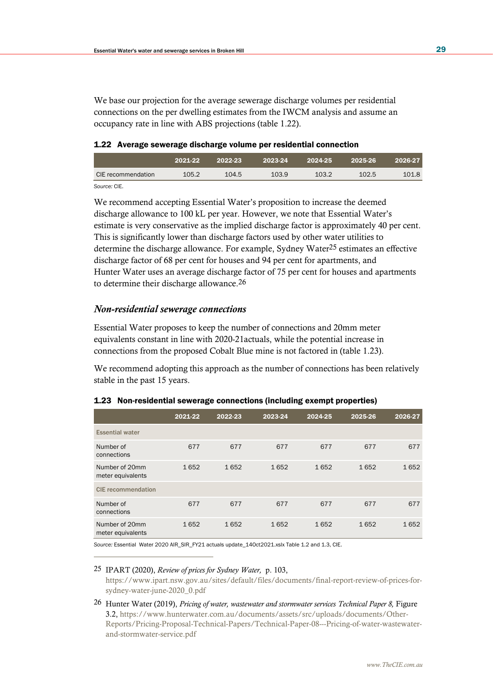We base our projection for the average sewerage discharge volumes per residential connections on the per dwelling estimates from the IWCM analysis and assume an occupancy rate in line with ABS projections (table 1.22).

#### 1.22 Average sewerage discharge volume per residential connection

|                      | 2021-22 | 2022-23 | 2023-24 | 2024-25 | 2025-26 | 2026-27 |
|----------------------|---------|---------|---------|---------|---------|---------|
| CIE recommendation   | 105.2   | 104.5   | 103.9   | 103.2   | 102.5   | 101.8   |
| $\sim$ $\sim$ $\sim$ |         |         |         |         |         |         |

*Source:* CIE.

We recommend accepting Essential Water's proposition to increase the deemed discharge allowance to 100 kL per year. However, we note that Essential Water's estimate is very conservative as the implied discharge factor is approximately 40 per cent. This is significantly lower than discharge factors used by other water utilities to determine the discharge allowance. For example, Sydney Water25 estimates an effective discharge factor of 68 per cent for houses and 94 per cent for apartments, and Hunter Water uses an average discharge factor of 75 per cent for houses and apartments to determine their discharge allowance.26

### *Non-residential sewerage connections*

Essential Water proposes to keep the number of connections and 20mm meter equivalents constant in line with 2020-21actuals, while the potential increase in connections from the proposed Cobalt Blue mine is not factored in (table 1.23).

We recommend adopting this approach as the number of connections has been relatively stable in the past 15 years.

|                                     | 2021-22 | 2022-23 | 2023-24 | 2024-25 | 2025-26 | 2026-27 |
|-------------------------------------|---------|---------|---------|---------|---------|---------|
| <b>Essential water</b>              |         |         |         |         |         |         |
| Number of<br>connections            | 677     | 677     | 677     | 677     | 677     | 677     |
| Number of 20mm<br>meter equivalents | 1652    | 1652    | 1652    | 1652    | 1652    | 1652    |
| <b>CIE</b> recommendation           |         |         |         |         |         |         |
| Number of<br>connections            | 677     | 677     | 677     | 677     | 677     | 677     |
| Number of 20mm<br>meter equivalents | 1652    | 1652    | 1652    | 1652    | 1652    | 1652    |

### 1.23 Non-residential sewerage connections (including exempt properties)

*Source:* Essential Water 2020 AIR\_SIR\_FY21 actuals update\_14Oct2021.xslx Table 1.2 and 1.3, CIE.

### 25 IPART (2020), *Review of prices for Sydney Water,* p. 103, [https://www.ipart.nsw.gov.au/sites/default/files/documents/final-report-review-of-prices-for](https://www.ipart.nsw.gov.au/sites/default/files/documents/final-report-review-of-prices-for-sydney-water-june-2020_0.pdf)[sydney-water-june-2020\\_0.pdf](https://www.ipart.nsw.gov.au/sites/default/files/documents/final-report-review-of-prices-for-sydney-water-june-2020_0.pdf)

26 Hunter Water (2019), *Pricing of water, wastewater and stormwater services Technical Paper 8,* Figure 3.2, [https://www.hunterwater.com.au/documents/assets/src/uploads/documents/Other-](https://www.hunterwater.com.au/documents/assets/src/uploads/documents/Other-Reports/Pricing-Proposal-Technical-Papers/Technical-Paper-08---Pricing-of-water-wastewater-and-stormwater-service.pdf)[Reports/Pricing-Proposal-Technical-Papers/Technical-Paper-08---Pricing-of-water-wastewater](https://www.hunterwater.com.au/documents/assets/src/uploads/documents/Other-Reports/Pricing-Proposal-Technical-Papers/Technical-Paper-08---Pricing-of-water-wastewater-and-stormwater-service.pdf)[and-stormwater-service.pdf](https://www.hunterwater.com.au/documents/assets/src/uploads/documents/Other-Reports/Pricing-Proposal-Technical-Papers/Technical-Paper-08---Pricing-of-water-wastewater-and-stormwater-service.pdf)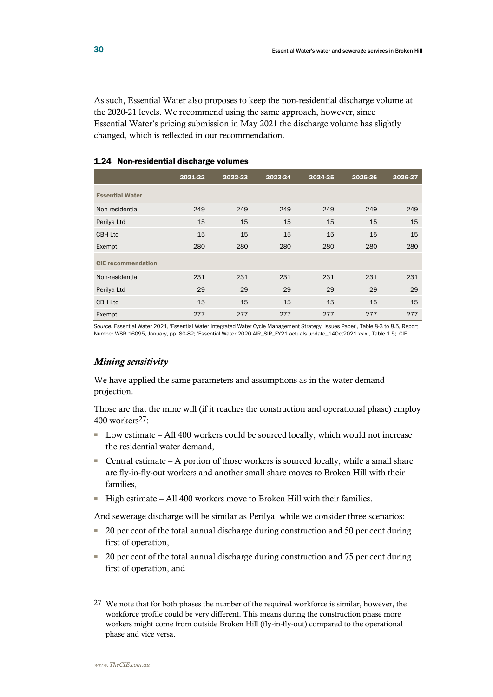As such, Essential Water also proposes to keep the non-residential discharge volume at the 2020-21 levels. We recommend using the same approach, however, since Essential Water's pricing submission in May 2021 the discharge volume has slightly changed, which is reflected in our recommendation.

|                           | 2021-22 | 2022-23 | 2023-24 | $2024 - 25$ | 2025-26 | 2026-27 |
|---------------------------|---------|---------|---------|-------------|---------|---------|
| <b>Essential Water</b>    |         |         |         |             |         |         |
| Non-residential           | 249     | 249     | 249     | 249         | 249     | 249     |
| Perilya Ltd               | 15      | 15      | 15      | 15          | 15      | 15      |
| <b>CBH Ltd</b>            | 15      | 15      | 15      | 15          | 15      | 15      |
| Exempt                    | 280     | 280     | 280     | 280         | 280     | 280     |
| <b>CIE</b> recommendation |         |         |         |             |         |         |
| Non-residential           | 231     | 231     | 231     | 231         | 231     | 231     |
| Perilya Ltd               | 29      | 29      | 29      | 29          | 29      | 29      |
| <b>CBH Ltd</b>            | 15      | 15      | 15      | 15          | 15      | 15      |
| Exempt                    | 277     | 277     | 277     | 277         | 277     | 277     |

### 1.24 Non-residential discharge volumes

*Source:* Essential Water 2021, 'Essential Water Integrated Water Cycle Management Strategy: Issues Paper', Table 8-3 to 8.5, Report Number WSR 16095, January, pp. 80-82; 'Essential Water 2020 AIR\_SIR\_FY21 actuals update\_14Oct2021.xslx', Table 1.5; CIE.

### *Mining sensitivity*

We have applied the same parameters and assumptions as in the water demand projection.

Those are that the mine will (if it reaches the construction and operational phase) employ 400 workers27:

- Low estimate All 400 workers could be sourced locally, which would not increase the residential water demand,
- Central estimate  $-$  A portion of those workers is sourced locally, while a small share are fly-in-fly-out workers and another small share moves to Broken Hill with their families,
- High estimate All 400 workers move to Broken Hill with their families.

And sewerage discharge will be similar as Perilya, while we consider three scenarios:

- 20 per cent of the total annual discharge during construction and 50 per cent during first of operation,
- 20 per cent of the total annual discharge during construction and 75 per cent during first of operation, and

<sup>27</sup> We note that for both phases the number of the required workforce is similar, however, the workforce profile could be very different. This means during the construction phase more workers might come from outside Broken Hill (fly-in-fly-out) compared to the operational phase and vice versa.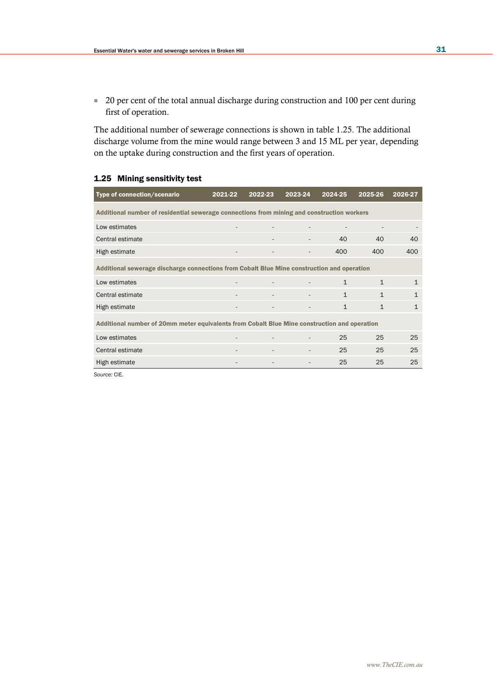■ 20 per cent of the total annual discharge during construction and 100 per cent during first of operation.

The additional number of sewerage connections is shown in table 1.25. The additional discharge volume from the mine would range between 3 and 15 ML per year, depending on the uptake during construction and the first years of operation.

### 1.25 Mining sensitivity test

| Type of connection/scenario                                                                | $2021 - 22$                                                                                  | 2022-23 | 2023-24 | 2024-25      | 2025-26      | 2026-27      |  |  |  |  |
|--------------------------------------------------------------------------------------------|----------------------------------------------------------------------------------------------|---------|---------|--------------|--------------|--------------|--|--|--|--|
| Additional number of residential sewerage connections from mining and construction workers |                                                                                              |         |         |              |              |              |  |  |  |  |
| Low estimates                                                                              |                                                                                              |         |         |              |              |              |  |  |  |  |
| Central estimate                                                                           |                                                                                              |         |         | 40           | 40           | 40           |  |  |  |  |
| High estimate                                                                              |                                                                                              |         |         | 400          | 400          | 400          |  |  |  |  |
| Additional sewerage discharge connections from Cobalt Blue Mine construction and operation |                                                                                              |         |         |              |              |              |  |  |  |  |
| Low estimates                                                                              |                                                                                              |         |         | $\mathbf{1}$ | $\mathbf{1}$ | $\mathbf{1}$ |  |  |  |  |
| Central estimate                                                                           |                                                                                              |         |         | $\mathbf{1}$ | $\mathbf{1}$ | $\mathbf{1}$ |  |  |  |  |
| High estimate                                                                              |                                                                                              |         |         | $\mathbf{1}$ | $\mathbf{1}$ | $\mathbf{1}$ |  |  |  |  |
|                                                                                            | Additional number of 20mm meter equivalents from Cobalt Blue Mine construction and operation |         |         |              |              |              |  |  |  |  |
| Low estimates                                                                              |                                                                                              |         |         | 25           | 25           | 25           |  |  |  |  |
| Central estimate                                                                           |                                                                                              |         |         | 25           | 25           | 25           |  |  |  |  |
| High estimate                                                                              |                                                                                              |         |         | 25           | 25           | 25           |  |  |  |  |

*Source:* CIE.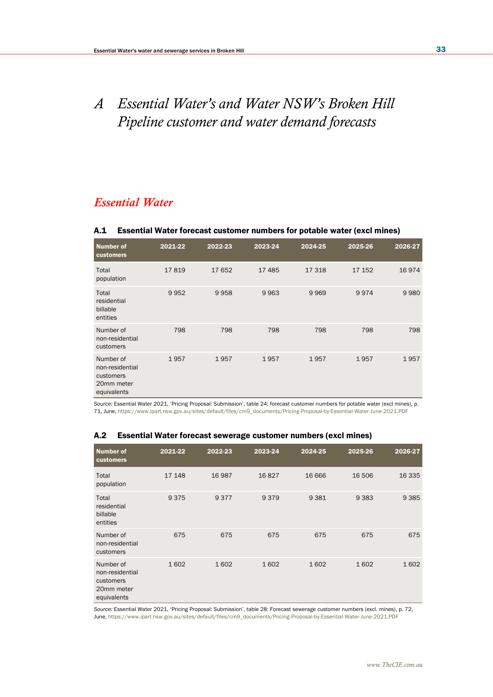# *A Essential Water's and Water NSW's Broken Hill Pipeline customer and water demand forecasts*

# *Essential Water*

### A.1 Essential Water forecast customer numbers for potable water (excl mines)

| <b>Number of</b><br>customers                                          | 2021-22 | 2022-23 | 2023-24 | 2024-25 | 2025-26 | 2026-27 |
|------------------------------------------------------------------------|---------|---------|---------|---------|---------|---------|
| Total<br>population                                                    | 17819   | 17652   | 17485   | 17318   | 17 152  | 16974   |
| Total<br>residential<br>billable<br>entities                           | 9952    | 9958    | 9963    | 9969    | 9974    | 9980    |
| Number of<br>non-residential<br>customers                              | 798     | 798     | 798     | 798     | 798     | 798     |
| Number of<br>non-residential<br>customers<br>20mm meter<br>equivalents | 1957    | 1957    | 1957    | 1957    | 1957    | 1957    |

*Source:* Essential Water 2021, 'Pricing Proposal: Submission', table 24: forecast customer numbers for potable water (excl mines), p. 71, June[, https://www.ipart.nsw.gov.au/sites/default/files/cm9\\_documents/Pricing-Proposal-by-Essential-Water-June-2021.PDF](https://www.ipart.nsw.gov.au/sites/default/files/cm9_documents/Pricing-Proposal-by-Essential-Water-June-2021.PDF)

| Number of<br>customers                                                 | 2021-22 | 2022-23 | 2023-24 | 2024-25 | 2025-26 | 2026-27 |
|------------------------------------------------------------------------|---------|---------|---------|---------|---------|---------|
| Total<br>population                                                    | 17 148  | 16987   | 16827   | 16 6 66 | 16 506  | 16 3 35 |
| Total<br>residential<br>billable<br>entities                           | 9375    | 9377    | 9379    | 9381    | 9 3 8 3 | 9 3 8 5 |
| Number of<br>non-residential<br>customers                              | 675     | 675     | 675     | 675     | 675     | 675     |
| Number of<br>non-residential<br>customers<br>20mm meter<br>equivalents | 1602    | 1602    | 1602    | 1602    | 1602    | 1602    |

### A.2 Essential Water forecast sewerage customer numbers (excl mines)

*Source:* Essential Water 2021, 'Pricing Proposal: Submission', table 28: Forecast sewerage customer numbers (excl. mines), p. 72, June[, https://www.ipart.nsw.gov.au/sites/default/files/cm9\\_documents/Pricing-Proposal-by-Essential-Water-June-2021.PDF](https://www.ipart.nsw.gov.au/sites/default/files/cm9_documents/Pricing-Proposal-by-Essential-Water-June-2021.PDF)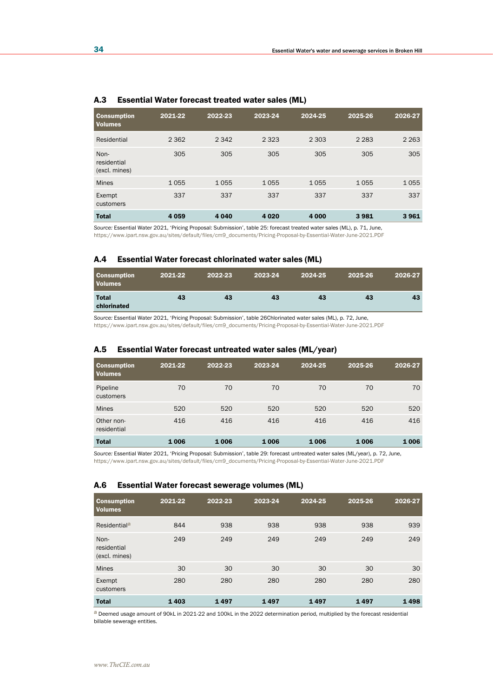| <b>Consumption</b><br><b>Volumes</b> | 2021-22 | 2022-23 | 2023-24 | 2024-25 | 2025-26 | 2026-27 |
|--------------------------------------|---------|---------|---------|---------|---------|---------|
| Residential                          | 2 3 6 2 | 2 3 4 2 | 2 3 2 3 | 2 3 0 3 | 2 2 8 3 | 2 2 6 3 |
| Non-<br>residential<br>(excl. mines) | 305     | 305     | 305     | 305     | 305     | 305     |
| <b>Mines</b>                         | 1055    | 1055    | 1055    | 1055    | 1055    | 1055    |
| Exempt<br>customers                  | 337     | 337     | 337     | 337     | 337     | 337     |
| <b>Total</b>                         | 4059    | 4 0 4 0 | 4 0 2 0 | 4 0 0 0 | 3981    | 3961    |

#### A.3 Essential Water forecast treated water sales (ML)

*Source:* Essential Water 2021, 'Pricing Proposal: Submission', table 25: forecast treated water sales (ML), p. 71, June, [https://www.ipart.nsw.gov.au/sites/default/files/cm9\\_documents/Pricing-Proposal-by-Essential-Water-June-2021.PDF](https://www.ipart.nsw.gov.au/sites/default/files/cm9_documents/Pricing-Proposal-by-Essential-Water-June-2021.PDF)

### A.4 Essential Water forecast chlorinated water sales (ML)

| <b>Consumption</b><br><b>Volumes</b> | 2021-22 | 2022-23 | 2023-24 | 2024-25 | 2025-26 | 2026-27 |
|--------------------------------------|---------|---------|---------|---------|---------|---------|
| <b>Total</b><br>chlorinated          | 43      | 43      | 43      | 43      | 43      | 43      |

*Source:* Essential Water 2021, 'Pricing Proposal: Submission', table 26Chlorinated water sales (ML), p. 72, June, [https://www.ipart.nsw.gov.au/sites/default/files/cm9\\_documents/Pricing-Proposal-by-Essential-Water-June-2021.PDF](https://www.ipart.nsw.gov.au/sites/default/files/cm9_documents/Pricing-Proposal-by-Essential-Water-June-2021.PDF)

### A.5 Essential Water forecast untreated water sales (ML/year)

| <b>Consumption</b><br><b>Volumes</b> | 2021-22 | 2022-23 | 2023-24 | 2024-25 | 2025-26 | 2026-27 |
|--------------------------------------|---------|---------|---------|---------|---------|---------|
| Pipeline<br>customers                | 70      | 70      | 70      | 70      | 70      | 70      |
| <b>Mines</b>                         | 520     | 520     | 520     | 520     | 520     | 520     |
| Other non-<br>residential            | 416     | 416     | 416     | 416     | 416     | 416     |
| <b>Total</b>                         | 1006    | 1006    | 1006    | 1006    | 1006    | 1006    |

*Source:* Essential Water 2021, 'Pricing Proposal: Submission', table 29: forecast untreated water sales (ML/year), p. 72, June, [https://www.ipart.nsw.gov.au/sites/default/files/cm9\\_documents/Pricing-Proposal-by-Essential-Water-June-2021.PDF](https://www.ipart.nsw.gov.au/sites/default/files/cm9_documents/Pricing-Proposal-by-Essential-Water-June-2021.PDF)

#### A.6 Essential Water forecast sewerage volumes (ML)

| <b>Consumption</b><br><b>Volumes</b> | 2021-22 | 2022-23 | 2023-24 | 2024-25 | 2025-26 | 2026-27 |
|--------------------------------------|---------|---------|---------|---------|---------|---------|
| Residential <sup>a</sup>             | 844     | 938     | 938     | 938     | 938     | 939     |
| Non-<br>residential<br>(excl. mines) | 249     | 249     | 249     | 249     | 249     | 249     |
| <b>Mines</b>                         | 30      | 30      | 30      | 30      | 30      | 30      |
| Exempt<br>customers                  | 280     | 280     | 280     | 280     | 280     | 280     |
| <b>Total</b>                         | 1403    | 1497    | 1497    | 1497    | 1497    | 1498    |

a Deemed usage amount of 90kL in 2021-22 and 100kL in the 2022 determination period, multiplied by the forecast residential billable sewerage entities.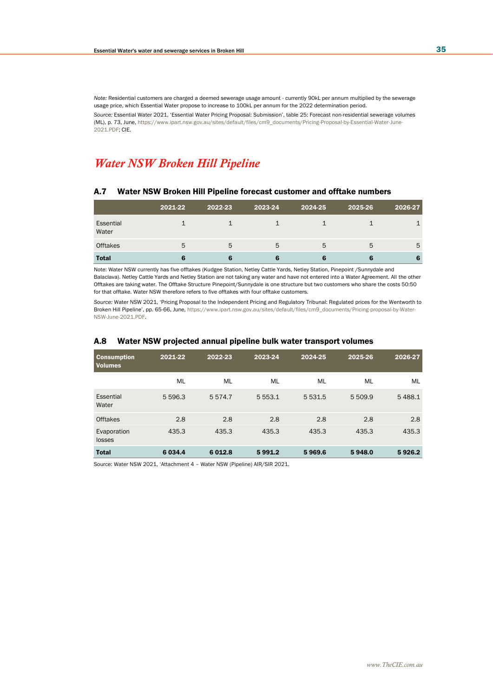*Note:* Residential customers are charged a deemed sewerage usage amount - currently 90kL per annum multiplied by the sewerage usage price, which Essential Water propose to increase to 100kL per annum for the 2022 determination period. *Source:* Essential Water 2021, 'Essential Water Pricing Proposal: Submission', table 25: Forecast non-residential sewerage volumes (ML), p. 73, June[, https://www.ipart.nsw.gov.au/sites/default/files/cm9\\_documents/Pricing-Proposal-by-Essential-Water-June-](https://www.ipart.nsw.gov.au/sites/default/files/cm9_documents/Pricing-Proposal-by-Essential-Water-June-2021.PDF)[2021.PDF;](https://www.ipart.nsw.gov.au/sites/default/files/cm9_documents/Pricing-Proposal-by-Essential-Water-June-2021.PDF) CIE.

# *Water NSW Broken Hill Pipeline*

#### A.7 Water NSW Broken Hill Pipeline forecast customer and offtake numbers

|                    | 2021-22 | 2022-23 | 2023-24 | 2024-25 | 2025-26 | 2026-27 |
|--------------------|---------|---------|---------|---------|---------|---------|
| Essential<br>Water |         |         |         |         |         |         |
| <b>Offtakes</b>    | 5       | 5       | 5       | 5       | 5       | 5       |
| <b>Total</b>       |         |         |         |         |         | 6       |

Note: Water NSW currently has five offtakes (Kudgee Station, Netley Cattle Yards, Netley Station, Pinepoint /Sunnydale and Balaclava). Netley Cattle Yards and Netley Station are not taking any water and have not entered into a Water Agreement. All the other Offtakes are taking water. The Offtake Structure Pinepoint/Sunnydale is one structure but two customers who share the costs 50:50 for that offtake. Water NSW therefore refers to five offtakes with four offtake customers.

*Source:* Water NSW 2021, 'Pricing Proposal to the Independent Pricing and Regulatory Tribunal: Regulated prices for the Wentworth to Broken Hill Pipeline', pp. 65-66, June[, https://www.ipart.nsw.gov.au/sites/default/files/cm9\\_documents/Pricing-proposal-by-Water-](https://www.ipart.nsw.gov.au/sites/default/files/cm9_documents/Pricing-proposal-by-Water-NSW-June-2021.PDF)[NSW-June-2021.PDF.](https://www.ipart.nsw.gov.au/sites/default/files/cm9_documents/Pricing-proposal-by-Water-NSW-June-2021.PDF) 

| <b>Consumption</b><br><b>Volumes</b> | 2021-22   | 2022-23  | 2023-24     | 2024-25   | 2025-26 | 2026-27 |
|--------------------------------------|-----------|----------|-------------|-----------|---------|---------|
|                                      | ML        | ML       | ML          | ML        | ML      | ML      |
| Essential<br>Water                   | 5 5 9 6.3 | 5574.7   | 5 5 5 3 . 1 | 5 5 3 1.5 | 5 509.9 | 5488.1  |
| Offtakes                             | 2.8       | 2.8      | 2.8         | 2.8       | 2.8     | 2.8     |
| Evaporation<br>losses                | 435.3     | 435.3    | 435.3       | 435.3     | 435.3   | 435.3   |
| <b>Total</b>                         | 6 0 34.4  | 6 0 12.8 | 5991.2      | 5969.6    | 5948.0  | 5926.2  |

#### A.8 Water NSW projected annual pipeline bulk water transport volumes

Source: Water NSW 2021, 'Attachment 4 – Water NSW (Pipeline) AIR/SIR 2021.